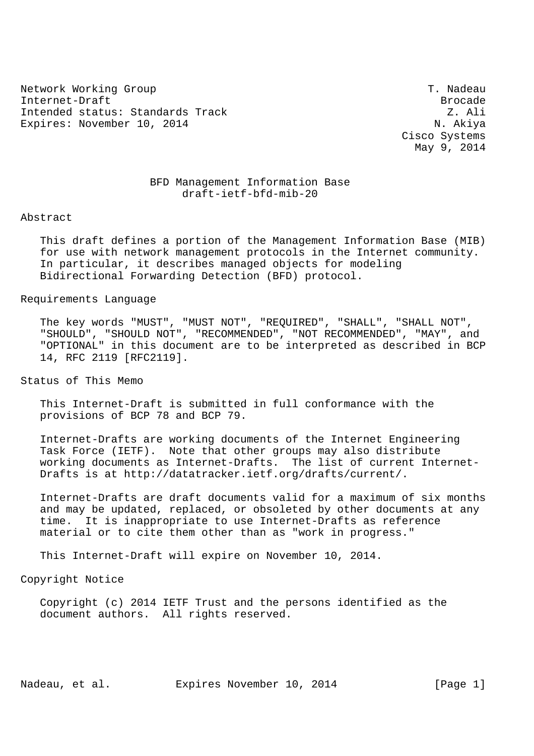Network Working Group T. Nadeau Internet-Draft Brocade Intended status: Standards Track Z. Ali Expires: November 10, 2014 N. Akiya

 Cisco Systems May 9, 2014

## BFD Management Information Base draft-ietf-bfd-mib-20

Abstract

 This draft defines a portion of the Management Information Base (MIB) for use with network management protocols in the Internet community. In particular, it describes managed objects for modeling Bidirectional Forwarding Detection (BFD) protocol.

Requirements Language

 The key words "MUST", "MUST NOT", "REQUIRED", "SHALL", "SHALL NOT", "SHOULD", "SHOULD NOT", "RECOMMENDED", "NOT RECOMMENDED", "MAY", and "OPTIONAL" in this document are to be interpreted as described in BCP 14, RFC 2119 [RFC2119].

Status of This Memo

 This Internet-Draft is submitted in full conformance with the provisions of BCP 78 and BCP 79.

 Internet-Drafts are working documents of the Internet Engineering Task Force (IETF). Note that other groups may also distribute working documents as Internet-Drafts. The list of current Internet- Drafts is at http://datatracker.ietf.org/drafts/current/.

 Internet-Drafts are draft documents valid for a maximum of six months and may be updated, replaced, or obsoleted by other documents at any time. It is inappropriate to use Internet-Drafts as reference material or to cite them other than as "work in progress."

This Internet-Draft will expire on November 10, 2014.

Copyright Notice

 Copyright (c) 2014 IETF Trust and the persons identified as the document authors. All rights reserved.

Nadeau, et al. Expires November 10, 2014 [Page 1]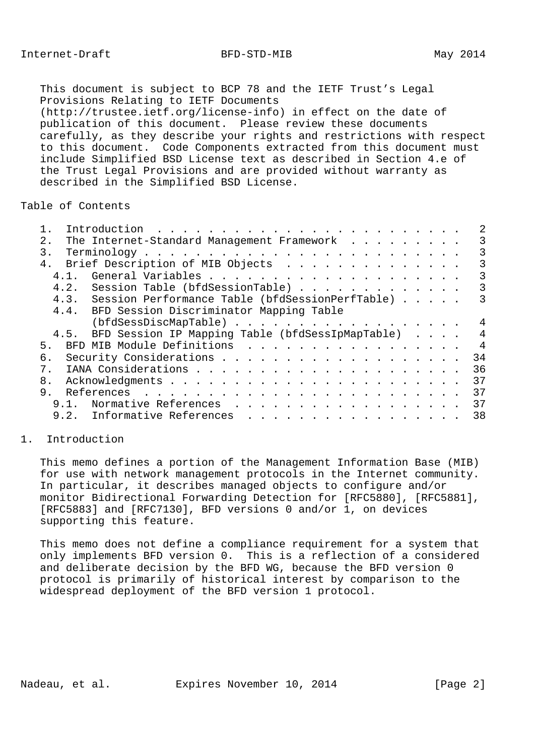This document is subject to BCP 78 and the IETF Trust's Legal Provisions Relating to IETF Documents (http://trustee.ietf.org/license-info) in effect on the date of publication of this document. Please review these documents carefully, as they describe your rights and restrictions with respect to this document. Code Components extracted from this document must include Simplified BSD License text as described in Section 4.e of the Trust Legal Provisions and are provided without warranty as described in the Simplified BSD License.

## Table of Contents

| The Internet-Standard Management Framework<br>2.1     | 3              |
|-------------------------------------------------------|----------------|
| 3.                                                    | 3              |
| 4. Brief Description of MIB Objects                   | 3              |
| 4, 1,                                                 | 3              |
| 4.2. Session Table (bfdSessionTable)                  | 3              |
| 4.3. Session Performance Table (bfdSessionPerfTable)  | 3              |
| 4.4. BFD Session Discriminator Mapping Table          |                |
| (bfdSessDiscMapTable)                                 | 4              |
| 4.5. BFD Session IP Mapping Table (bfdSessIpMapTable) | 4              |
| BFD MIB Module Definitions<br>5 <sub>1</sub>          | $\overline{4}$ |
| б.                                                    | 34             |
| $7_{\odot}$                                           | 36             |
| 8.                                                    | 37             |
| 9 <sub>1</sub>                                        | 37             |
| 9.1. Normative References                             | 37             |
| 9.2. Informative References                           | 38             |
|                                                       |                |

# 1. Introduction

 This memo defines a portion of the Management Information Base (MIB) for use with network management protocols in the Internet community. In particular, it describes managed objects to configure and/or monitor Bidirectional Forwarding Detection for [RFC5880], [RFC5881], [RFC5883] and [RFC7130], BFD versions 0 and/or 1, on devices supporting this feature.

 This memo does not define a compliance requirement for a system that only implements BFD version 0. This is a reflection of a considered and deliberate decision by the BFD WG, because the BFD version 0 protocol is primarily of historical interest by comparison to the widespread deployment of the BFD version 1 protocol.

Nadeau, et al. Expires November 10, 2014 [Page 2]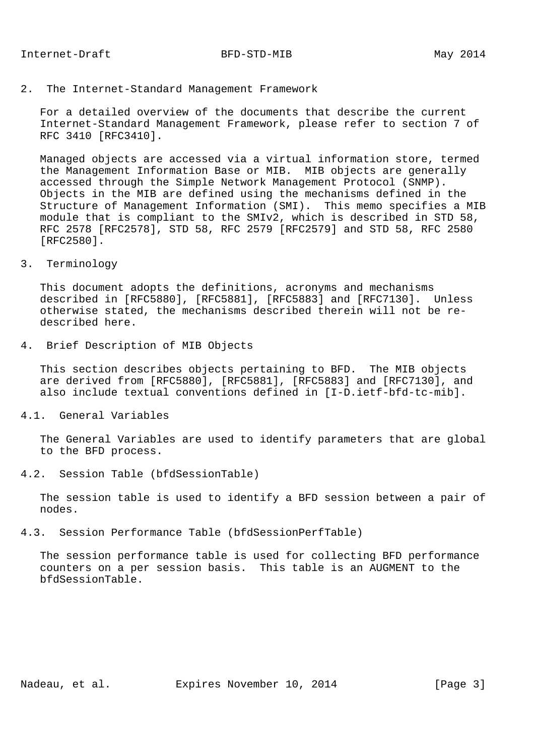2. The Internet-Standard Management Framework

 For a detailed overview of the documents that describe the current Internet-Standard Management Framework, please refer to section 7 of RFC 3410 [RFC3410].

 Managed objects are accessed via a virtual information store, termed the Management Information Base or MIB. MIB objects are generally accessed through the Simple Network Management Protocol (SNMP). Objects in the MIB are defined using the mechanisms defined in the Structure of Management Information (SMI). This memo specifies a MIB module that is compliant to the SMIv2, which is described in STD 58, RFC 2578 [RFC2578], STD 58, RFC 2579 [RFC2579] and STD 58, RFC 2580 [RFC2580].

#### 3. Terminology

 This document adopts the definitions, acronyms and mechanisms described in [RFC5880], [RFC5881], [RFC5883] and [RFC7130]. Unless otherwise stated, the mechanisms described therein will not be re described here.

4. Brief Description of MIB Objects

 This section describes objects pertaining to BFD. The MIB objects are derived from [RFC5880], [RFC5881], [RFC5883] and [RFC7130], and also include textual conventions defined in [I-D.ietf-bfd-tc-mib].

4.1. General Variables

 The General Variables are used to identify parameters that are global to the BFD process.

4.2. Session Table (bfdSessionTable)

 The session table is used to identify a BFD session between a pair of nodes.

4.3. Session Performance Table (bfdSessionPerfTable)

 The session performance table is used for collecting BFD performance counters on a per session basis. This table is an AUGMENT to the bfdSessionTable.

Nadeau, et al. Expires November 10, 2014 [Page 3]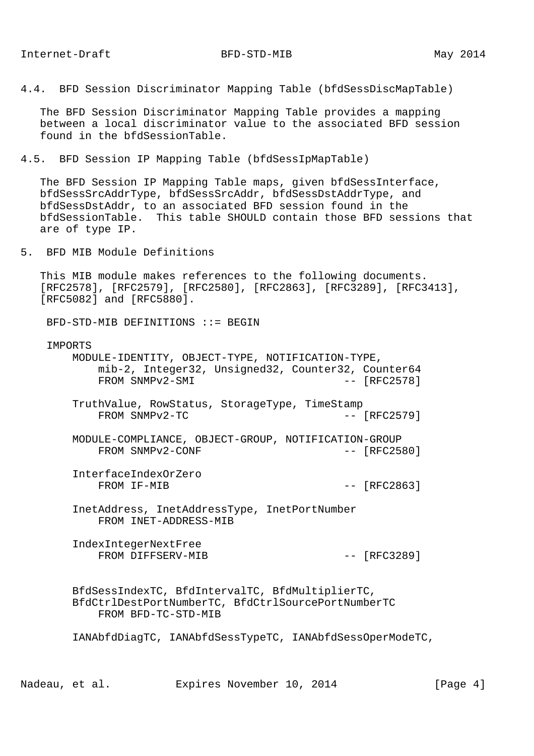4.4. BFD Session Discriminator Mapping Table (bfdSessDiscMapTable)

 The BFD Session Discriminator Mapping Table provides a mapping between a local discriminator value to the associated BFD session found in the bfdSessionTable.

4.5. BFD Session IP Mapping Table (bfdSessIpMapTable)

 The BFD Session IP Mapping Table maps, given bfdSessInterface, bfdSessSrcAddrType, bfdSessSrcAddr, bfdSessDstAddrType, and bfdSessDstAddr, to an associated BFD session found in the bfdSessionTable. This table SHOULD contain those BFD sessions that are of type IP.

5. BFD MIB Module Definitions

 This MIB module makes references to the following documents. [RFC2578], [RFC2579], [RFC2580], [RFC2863], [RFC3289], [RFC3413], [RFC5082] and [RFC5880].

BFD-STD-MIB DEFINITIONS ::= BEGIN

#### IMPORTS

 MODULE-IDENTITY, OBJECT-TYPE, NOTIFICATION-TYPE, mib-2, Integer32, Unsigned32, Counter32, Counter64 FROM SNMPv2-SMI  $--$  [RFC2578]

- TruthValue, RowStatus, StorageType, TimeStamp FROM SNMPv2-TC -- [RFC2579]
- MODULE-COMPLIANCE, OBJECT-GROUP, NOTIFICATION-GROUP FROM SNMPv2-CONF  $-$  [RFC2580]
- InterfaceIndexOrZero FROM IF-MIB -- [RFC2863]

 InetAddress, InetAddressType, InetPortNumber FROM INET-ADDRESS-MIB

 IndexIntegerNextFree FROM DIFFSERV-MIB  $-$  [RFC3289]

 BfdSessIndexTC, BfdIntervalTC, BfdMultiplierTC, BfdCtrlDestPortNumberTC, BfdCtrlSourcePortNumberTC FROM BFD-TC-STD-MIB

IANAbfdDiagTC, IANAbfdSessTypeTC, IANAbfdSessOperModeTC,

Nadeau, et al. Expires November 10, 2014 [Page 4]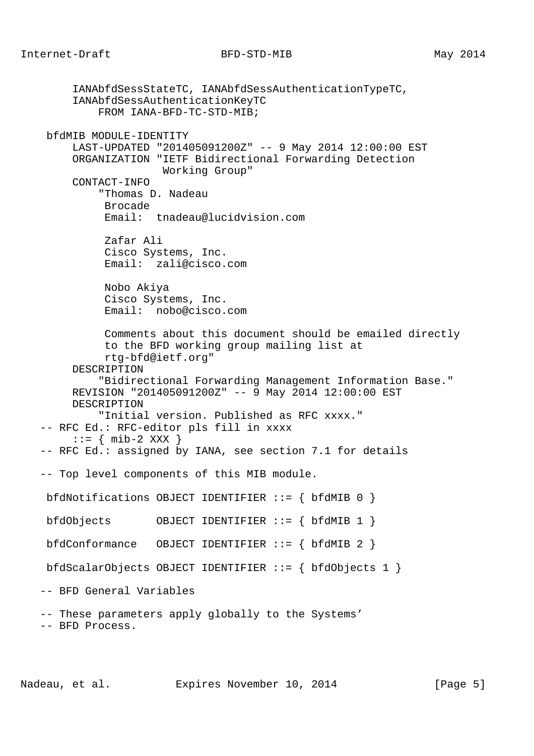IANAbfdSessStateTC, IANAbfdSessAuthenticationTypeTC, IANAbfdSessAuthenticationKeyTC FROM IANA-BFD-TC-STD-MIB; bfdMIB MODULE-IDENTITY LAST-UPDATED "201405091200Z" -- 9 May 2014 12:00:00 EST ORGANIZATION "IETF Bidirectional Forwarding Detection Working Group" CONTACT-INFO "Thomas D. Nadeau Brocade Email: tnadeau@lucidvision.com Zafar Ali Cisco Systems, Inc. Email: zali@cisco.com Nobo Akiya Cisco Systems, Inc. Email: nobo@cisco.com Comments about this document should be emailed directly to the BFD working group mailing list at rtg-bfd@ietf.org" DESCRIPTION "Bidirectional Forwarding Management Information Base." REVISION "201405091200Z" -- 9 May 2014 12:00:00 EST DESCRIPTION "Initial version. Published as RFC xxxx." -- RFC Ed.: RFC-editor pls fill in xxxx  $::=$  { mib-2 XXX } -- RFC Ed.: assigned by IANA, see section 7.1 for details -- Top level components of this MIB module. bfdNotifications OBJECT IDENTIFIER ::= { bfdMIB 0 } bfdObjects OBJECT IDENTIFIER ::= { bfdMIB 1 } bfdConformance OBJECT IDENTIFIER  $::=$  { bfdMIB 2 } bfdScalarObjects OBJECT IDENTIFIER ::= { bfdObjects 1 } -- BFD General Variables -- These parameters apply globally to the Systems' -- BFD Process.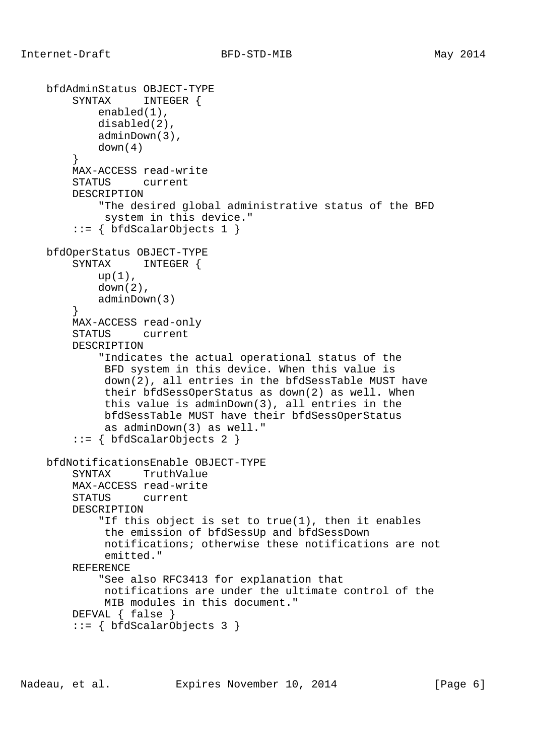```
 bfdAdminStatus OBJECT-TYPE
         SYNTAX INTEGER {
            enabled(1),
            disabled(2),
             adminDown(3),
            down(4)
         }
         MAX-ACCESS read-write
         STATUS current
         DESCRIPTION
             "The desired global administrative status of the BFD
              system in this device."
         ::= { bfdScalarObjects 1 }
    bfdOperStatus OBJECT-TYPE
         SYNTAX INTEGER {
           up(1),
            down(2),
            adminDown(3)
 }
         MAX-ACCESS read-only
         STATUS current
         DESCRIPTION
             "Indicates the actual operational status of the
              BFD system in this device. When this value is
              down(2), all entries in the bfdSessTable MUST have
              their bfdSessOperStatus as down(2) as well. When
              this value is adminDown(3), all entries in the
              bfdSessTable MUST have their bfdSessOperStatus
              as adminDown(3) as well."
         ::= { bfdScalarObjects 2 }
    bfdNotificationsEnable OBJECT-TYPE
         SYNTAX TruthValue
         MAX-ACCESS read-write
         STATUS current
         DESCRIPTION
             "If this object is set to true(1), then it enables
              the emission of bfdSessUp and bfdSessDown
              notifications; otherwise these notifications are not
              emitted."
         REFERENCE
             "See also RFC3413 for explanation that
             notifications are under the ultimate control of the
             MIB modules in this document."
         DEFVAL { false }
         ::= { bfdScalarObjects 3 }
```
Nadeau, et al. Expires November 10, 2014 [Page 6]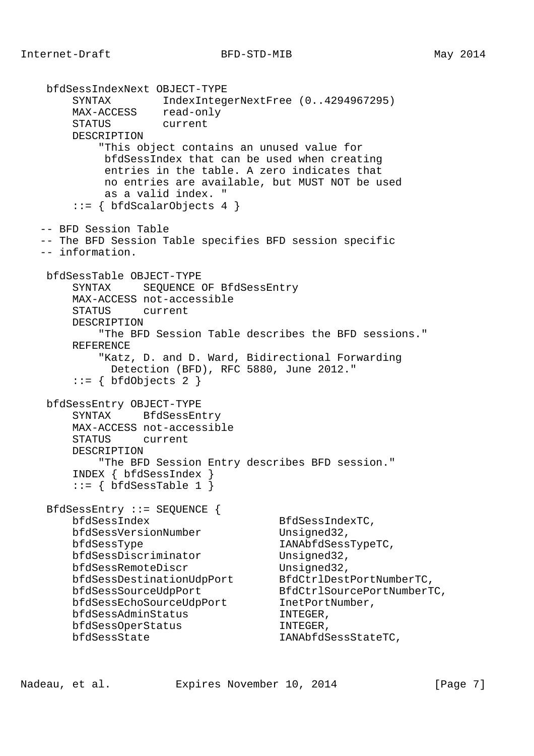bfdSessIndexNext OBJECT-TYPE SYNTAX IndexIntegerNextFree (0..4294967295) MAX-ACCESS read-only STATUS current DESCRIPTION "This object contains an unused value for bfdSessIndex that can be used when creating entries in the table. A zero indicates that no entries are available, but MUST NOT be used as a valid index. " ::= { bfdScalarObjects 4 } -- BFD Session Table -- The BFD Session Table specifies BFD session specific -- information. bfdSessTable OBJECT-TYPE SYNTAX SEQUENCE OF BfdSessEntry MAX-ACCESS not-accessible STATUS current DESCRIPTION "The BFD Session Table describes the BFD sessions." REFERENCE "Katz, D. and D. Ward, Bidirectional Forwarding Detection (BFD), RFC 5880, June 2012."  $::=$  { bfdObjects 2 } bfdSessEntry OBJECT-TYPE SYNTAX BfdSessEntry MAX-ACCESS not-accessible STATUS current DESCRIPTION "The BFD Session Entry describes BFD session." INDEX { bfdSessIndex }  $::=$  { bfdSessTable 1 } BfdSessEntry ::= SEQUENCE { bfdSessIndex BfdSessIndexTC, bfdSessVersionNumber Unsigned32, bfdSessType IANAbfdSessTypeTC, bfdSessDiscriminator Unsigned32, bfdSessRemoteDiscr Unsigned32, bfdSessDestinationUdpPort BfdCtrlDestPortNumberTC, bfdSessSourceUdpPort BfdCtrlSourcePortNumberTC, bfdSessEchoSourceUdpPort InetPortNumber, bfdSessAdminStatus INTEGER, bfdSessOperStatus INTEGER, bfdSessState IANAbfdSessStateTC,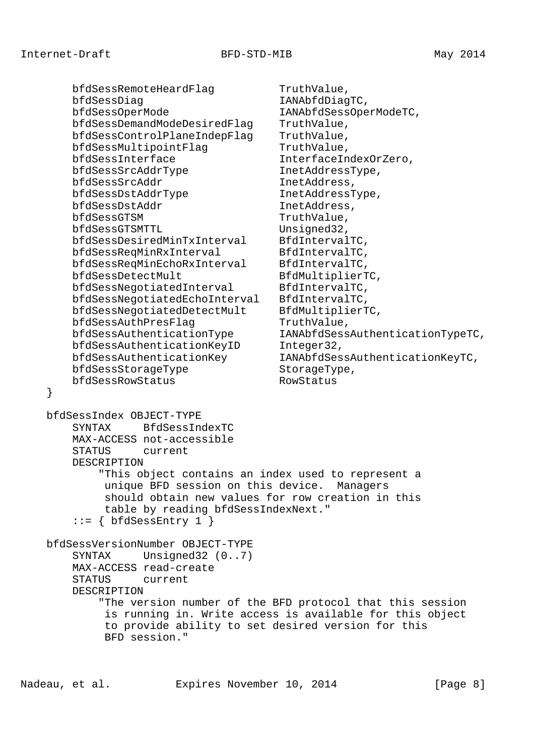bfdSessRemoteHeardFlag TruthValue, bfdSessDiag and IANAbfdDiagTC, bfdSessOperMode IANAbfdSessOperModeTC, bfdSessDemandModeDesiredFlag TruthValue,<br>bfdSessControlPlaneIndepFlag TruthValue, bfdSessControlPlaneIndepFlag bfdSessMultipointFlag TruthValue, bfdSessInterface InterfaceIndexOrZero, bfdSessSrcAddrType InetAddressType, bfdSessSrcAddr InetAddress, bfdSessDstAddrType InetAddressType, bfdSessDstAddr InetAddress, bfdSessGTSM TruthValue, bfdSessGTSMTTL Unsigned32, bfdSessDesiredMinTxInterval BfdIntervalTC, bfdSessReqMinRxInterval BfdIntervalTC, bfdSessReqMinEchoRxInterval BfdIntervalTC, bfdSessDetectMult BfdMultiplierTC, bfdSessNegotiatedInterval BfdIntervalTC, bfdSessNegotiatedEchoInterval BfdIntervalTC, bfdSessNegotiatedDetectMult BfdMultiplierTC, bfdSessAuthPresFlag TruthValue, bfdSessAuthenticationType IANAbfdSessAuthenticationTypeTC, bfdSessAuthenticationKeyID Integer32, bfdSessAuthenticationKey IANAbfdSessAuthenticationKeyTC, bfdSessStorageType StorageType, bfdSessRowStatus RowStatus } bfdSessIndex OBJECT-TYPE SYNTAX BfdSessIndexTC MAX-ACCESS not-accessible STATUS current DESCRIPTION "This object contains an index used to represent a unique BFD session on this device. Managers should obtain new values for row creation in this table by reading bfdSessIndexNext."  $::=$  { bfdSessEntry 1 } bfdSessVersionNumber OBJECT-TYPE SYNTAX Unsigned32 (0..7) MAX-ACCESS read-create STATUS current DESCRIPTION "The version number of the BFD protocol that this session is running in. Write access is available for this object to provide ability to set desired version for this BFD session."

Nadeau, et al. Expires November 10, 2014 [Page 8]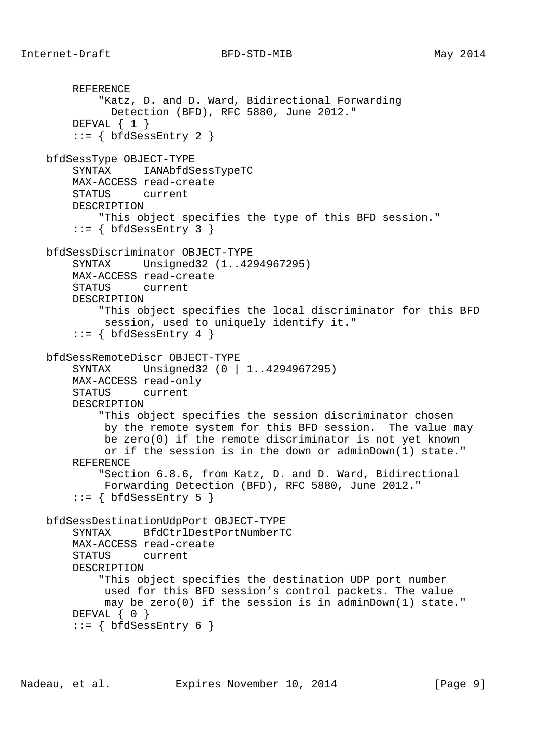```
 REFERENCE
         "Katz, D. and D. Ward, Bidirectional Forwarding
          Detection (BFD), RFC 5880, June 2012."
    DEFVAL \{ 1 \}::= { bfdSessEntry 2 }
 bfdSessType OBJECT-TYPE
     SYNTAX IANAbfdSessTypeTC
     MAX-ACCESS read-create
     STATUS current
     DESCRIPTION
         "This object specifies the type of this BFD session."
    ::= { bfdSessEntry 3 }
 bfdSessDiscriminator OBJECT-TYPE
     SYNTAX Unsigned32 (1..4294967295)
     MAX-ACCESS read-create
     STATUS current
     DESCRIPTION
         "This object specifies the local discriminator for this BFD
         session, used to uniquely identify it."
    ::= { bfdSessEntry 4 }
 bfdSessRemoteDiscr OBJECT-TYPE
     SYNTAX Unsigned32 (0 | 1..4294967295)
     MAX-ACCESS read-only
     STATUS current
     DESCRIPTION
         "This object specifies the session discriminator chosen
          by the remote system for this BFD session. The value may
          be zero(0) if the remote discriminator is not yet known
          or if the session is in the down or adminDown(1) state."
     REFERENCE
         "Section 6.8.6, from Katz, D. and D. Ward, Bidirectional
         Forwarding Detection (BFD), RFC 5880, June 2012."
    ::= { bfdSessEntry 5 }
 bfdSessDestinationUdpPort OBJECT-TYPE
     SYNTAX BfdCtrlDestPortNumberTC
     MAX-ACCESS read-create
     STATUS current
     DESCRIPTION
         "This object specifies the destination UDP port number
         used for this BFD session's control packets. The value
          may be zero(0) if the session is in adminDown(1) state."
    DEFVAL \{ 0 \}::= { bfdSessEntry 6 }
```
Nadeau, et al. Expires November 10, 2014 [Page 9]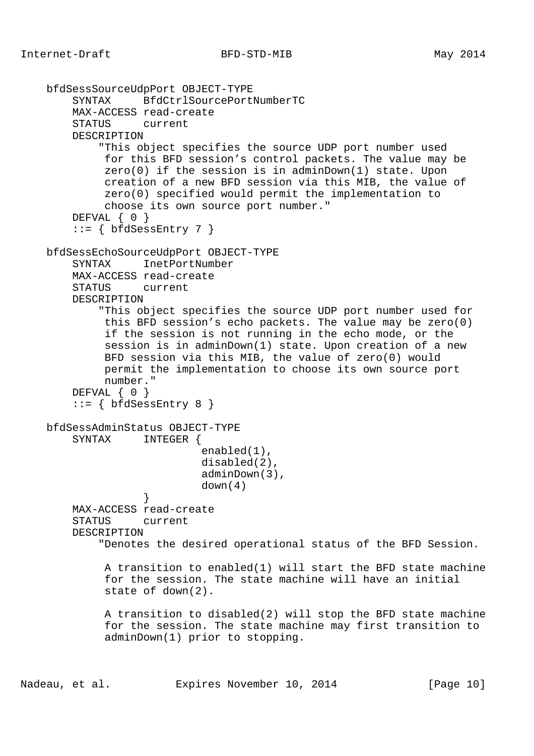```
 bfdSessSourceUdpPort OBJECT-TYPE
        SYNTAX BfdCtrlSourcePortNumberTC
        MAX-ACCESS read-create
        STATUS current
        DESCRIPTION
             "This object specifies the source UDP port number used
             for this BFD session's control packets. The value may be
             zero(0) if the session is in adminDown(1) state. Upon
             creation of a new BFD session via this MIB, the value of
             zero(0) specified would permit the implementation to
             choose its own source port number."
       DEFVAL { 0 }
        ::= { bfdSessEntry 7 }
    bfdSessEchoSourceUdpPort OBJECT-TYPE
       SYNTAX TnetPortNumber
        MAX-ACCESS read-create
        STATUS current
        DESCRIPTION
             "This object specifies the source UDP port number used for
             this BFD session's echo packets. The value may be zero(0)
             if the session is not running in the echo mode, or the
             session is in adminDown(1) state. Upon creation of a new
             BFD session via this MIB, the value of zero(0) would
             permit the implementation to choose its own source port
             number."
       DEFVAL { 0 }
         ::= { bfdSessEntry 8 }
    bfdSessAdminStatus OBJECT-TYPE
        SYNTAX INTEGER {
                            enabled(1),
                            disabled(2),
                            adminDown(3),
                   down(4) }
        MAX-ACCESS read-create
        STATUS current
        DESCRIPTION
             "Denotes the desired operational status of the BFD Session.
             A transition to enabled(1) will start the BFD state machine
             for the session. The state machine will have an initial
             state of down(2).
             A transition to disabled(2) will stop the BFD state machine
             for the session. The state machine may first transition to
             adminDown(1) prior to stopping.
```
Nadeau, et al. Expires November 10, 2014 [Page 10]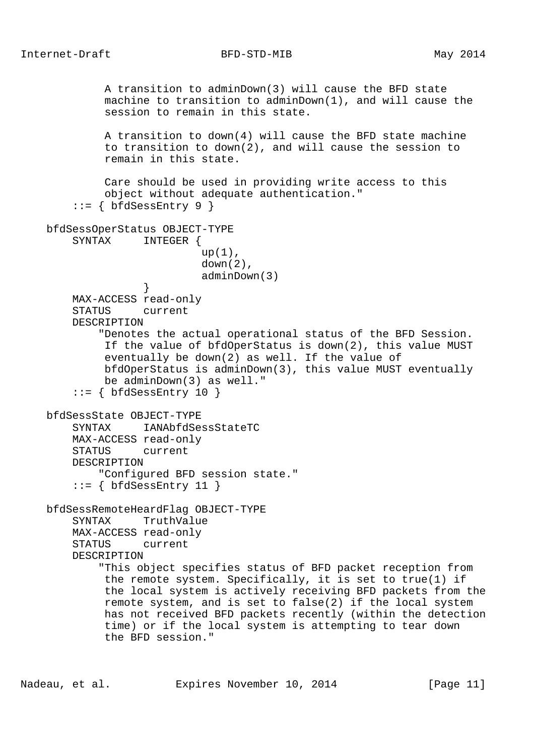A transition to adminDown(3) will cause the BFD state machine to transition to adminDown(1), and will cause the session to remain in this state. A transition to down(4) will cause the BFD state machine to transition to down(2), and will cause the session to remain in this state. Care should be used in providing write access to this object without adequate authentication."  $::=$  { bfdSessEntry 9 } bfdSessOperStatus OBJECT-TYPE SYNTAX INTEGER {  $up(1)$ ,  $down(2)$ , adminDown(3) } MAX-ACCESS read-only STATUS current DESCRIPTION "Denotes the actual operational status of the BFD Session. If the value of bfdOperStatus is down(2), this value MUST eventually be down(2) as well. If the value of bfdOperStatus is adminDown(3), this value MUST eventually be adminDown(3) as well."  $::=$  { bfdSessEntry 10 } bfdSessState OBJECT-TYPE SYNTAX IANAbfdSessStateTC MAX-ACCESS read-only STATUS current DESCRIPTION "Configured BFD session state."  $::=$  { bfdSessEntry 11 } bfdSessRemoteHeardFlag OBJECT-TYPE SYNTAX TruthValue MAX-ACCESS read-only STATUS current DESCRIPTION "This object specifies status of BFD packet reception from the remote system. Specifically, it is set to true(1) if the local system is actively receiving BFD packets from the remote system, and is set to false(2) if the local system has not received BFD packets recently (within the detection time) or if the local system is attempting to tear down the BFD session."

Nadeau, et al. **Expires November 10, 2014** [Page 11]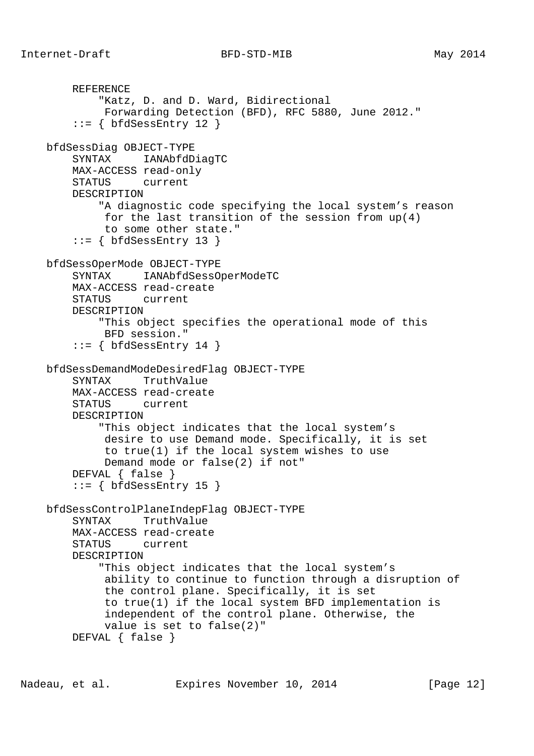```
 REFERENCE
         "Katz, D. and D. Ward, Bidirectional
         Forwarding Detection (BFD), RFC 5880, June 2012."
    ::= { bfdSessEntry 12 }
 bfdSessDiag OBJECT-TYPE
     SYNTAX IANAbfdDiagTC
     MAX-ACCESS read-only
     STATUS current
     DESCRIPTION
         "A diagnostic code specifying the local system's reason
          for the last transition of the session from up(4)
          to some other state."
    ::= { bfdSessEntry 13 }
 bfdSessOperMode OBJECT-TYPE
     SYNTAX IANAbfdSessOperModeTC
     MAX-ACCESS read-create
     STATUS current
     DESCRIPTION
         "This object specifies the operational mode of this
          BFD session."
    ::= { bfdSessEntry 14 }
 bfdSessDemandModeDesiredFlag OBJECT-TYPE
     SYNTAX TruthValue
     MAX-ACCESS read-create
     STATUS current
     DESCRIPTION
         "This object indicates that the local system's
          desire to use Demand mode. Specifically, it is set
          to true(1) if the local system wishes to use
          Demand mode or false(2) if not"
     DEFVAL { false }
    ::= { bfdSessEntry 15 }
 bfdSessControlPlaneIndepFlag OBJECT-TYPE
     SYNTAX TruthValue
     MAX-ACCESS read-create
     STATUS current
     DESCRIPTION
         "This object indicates that the local system's
          ability to continue to function through a disruption of
          the control plane. Specifically, it is set
          to true(1) if the local system BFD implementation is
          independent of the control plane. Otherwise, the
          value is set to false(2)"
     DEFVAL { false }
```
Nadeau, et al. Expires November 10, 2014 [Page 12]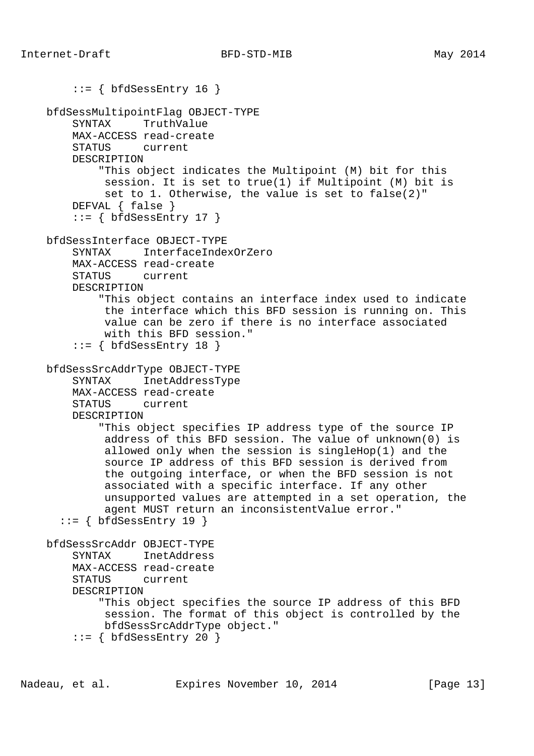```
::= { bfdSessEntry 16 }
 bfdSessMultipointFlag OBJECT-TYPE
     SYNTAX TruthValue
     MAX-ACCESS read-create
     STATUS current
     DESCRIPTION
         "This object indicates the Multipoint (M) bit for this
          session. It is set to true(1) if Multipoint (M) bit is
          set to 1. Otherwise, the value is set to false(2)"
     DEFVAL { false }
    ::= { bfdSessEntry 17 }
 bfdSessInterface OBJECT-TYPE
     SYNTAX InterfaceIndexOrZero
     MAX-ACCESS read-create
     STATUS current
     DESCRIPTION
         "This object contains an interface index used to indicate
         the interface which this BFD session is running on. This
          value can be zero if there is no interface associated
          with this BFD session."
     ::= { bfdSessEntry 18 }
 bfdSessSrcAddrType OBJECT-TYPE
     SYNTAX InetAddressType
     MAX-ACCESS read-create
     STATUS current
     DESCRIPTION
         "This object specifies IP address type of the source IP
          address of this BFD session. The value of unknown(0) is
          allowed only when the session is singleHop(1) and the
          source IP address of this BFD session is derived from
          the outgoing interface, or when the BFD session is not
          associated with a specific interface. If any other
          unsupported values are attempted in a set operation, the
          agent MUST return an inconsistentValue error."
  ::= { bfdSessEntry 19 }
 bfdSessSrcAddr OBJECT-TYPE
     SYNTAX InetAddress
     MAX-ACCESS read-create
     STATUS current
     DESCRIPTION
         "This object specifies the source IP address of this BFD
          session. The format of this object is controlled by the
         bfdSessSrcAddrType object."
    ::= { bfdSessEntry 20 }
```
Nadeau, et al. Expires November 10, 2014 [Page 13]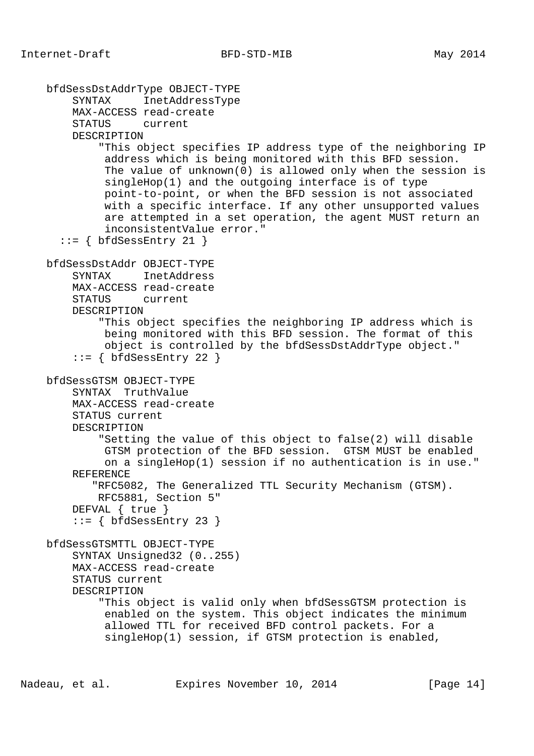```
 bfdSessDstAddrType OBJECT-TYPE
     SYNTAX InetAddressType
     MAX-ACCESS read-create
     STATUS current
     DESCRIPTION
         "This object specifies IP address type of the neighboring IP
          address which is being monitored with this BFD session.
          The value of unknown(0) is allowed only when the session is
          singleHop(1) and the outgoing interface is of type
          point-to-point, or when the BFD session is not associated
          with a specific interface. If any other unsupported values
          are attempted in a set operation, the agent MUST return an
          inconsistentValue error."
  ::= { bfdSessEntry 21 }
 bfdSessDstAddr OBJECT-TYPE
     SYNTAX InetAddress
     MAX-ACCESS read-create
     STATUS current
     DESCRIPTION
         "This object specifies the neighboring IP address which is
          being monitored with this BFD session. The format of this
          object is controlled by the bfdSessDstAddrType object."
    ::= { bfdSessEntry 22 }
 bfdSessGTSM OBJECT-TYPE
     SYNTAX TruthValue
     MAX-ACCESS read-create
     STATUS current
     DESCRIPTION
         "Setting the value of this object to false(2) will disable
          GTSM protection of the BFD session. GTSM MUST be enabled
          on a singleHop(1) session if no authentication is in use."
     REFERENCE
        "RFC5082, The Generalized TTL Security Mechanism (GTSM).
         RFC5881, Section 5"
     DEFVAL { true }
    ::= { bfdSessEntry 23 }
 bfdSessGTSMTTL OBJECT-TYPE
     SYNTAX Unsigned32 (0..255)
     MAX-ACCESS read-create
     STATUS current
     DESCRIPTION
         "This object is valid only when bfdSessGTSM protection is
          enabled on the system. This object indicates the minimum
          allowed TTL for received BFD control packets. For a
          singleHop(1) session, if GTSM protection is enabled,
```
Nadeau, et al. **Expires November 10, 2014** [Page 14]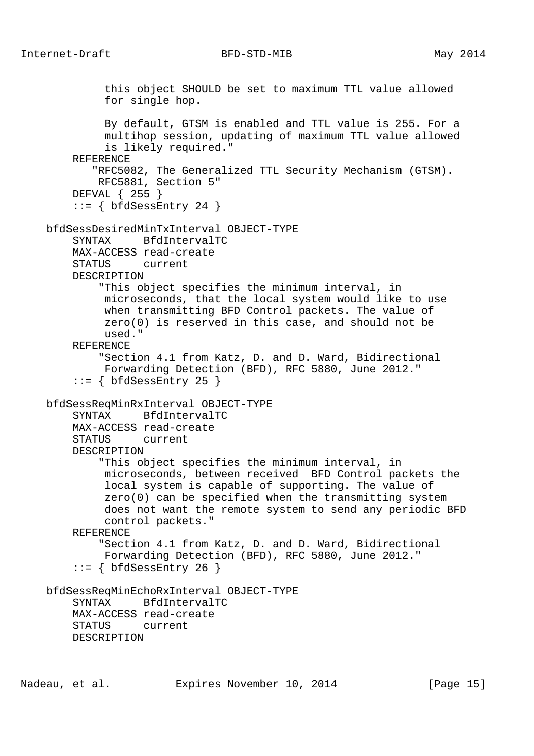this object SHOULD be set to maximum TTL value allowed for single hop. By default, GTSM is enabled and TTL value is 255. For a multihop session, updating of maximum TTL value allowed is likely required." REFERENCE "RFC5082, The Generalized TTL Security Mechanism (GTSM). RFC5881, Section 5" DEFVAL { 255 }  $::=$  { bfdSessEntry 24 } bfdSessDesiredMinTxInterval OBJECT-TYPE SYNTAX BfdIntervalTC MAX-ACCESS read-create STATUS current DESCRIPTION "This object specifies the minimum interval, in microseconds, that the local system would like to use when transmitting BFD Control packets. The value of zero(0) is reserved in this case, and should not be used." REFERENCE "Section 4.1 from Katz, D. and D. Ward, Bidirectional Forwarding Detection (BFD), RFC 5880, June 2012." ::= { bfdSessEntry 25 } bfdSessReqMinRxInterval OBJECT-TYPE SYNTAX BfdIntervalTC MAX-ACCESS read-create STATUS current DESCRIPTION "This object specifies the minimum interval, in microseconds, between received BFD Control packets the local system is capable of supporting. The value of zero(0) can be specified when the transmitting system does not want the remote system to send any periodic BFD control packets." REFERENCE "Section 4.1 from Katz, D. and D. Ward, Bidirectional Forwarding Detection (BFD), RFC 5880, June 2012."  $::=$  { bfdSessEntry 26 } bfdSessReqMinEchoRxInterval OBJECT-TYPE SYNTAX BfdIntervalTC MAX-ACCESS read-create STATUS current DESCRIPTION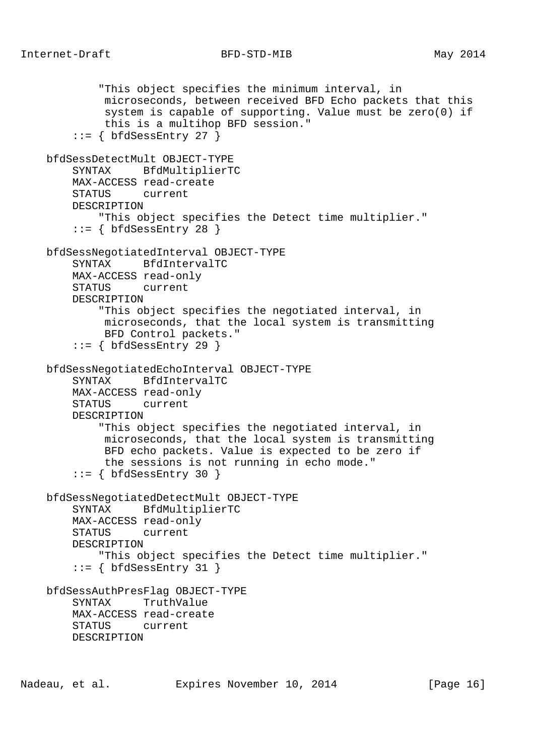"This object specifies the minimum interval, in microseconds, between received BFD Echo packets that this system is capable of supporting. Value must be zero(0) if this is a multihop BFD session."  $::=$  { bfdSessEntry 27 } bfdSessDetectMult OBJECT-TYPE SYNTAX BfdMultiplierTC MAX-ACCESS read-create STATUS current DESCRIPTION "This object specifies the Detect time multiplier."  $::=$  { bfdSessEntry 28 } bfdSessNegotiatedInterval OBJECT-TYPE SYNTAX BfdIntervalTC MAX-ACCESS read-only STATUS current DESCRIPTION "This object specifies the negotiated interval, in microseconds, that the local system is transmitting BFD Control packets."  $::=$  { bfdSessEntry 29 } bfdSessNegotiatedEchoInterval OBJECT-TYPE SYNTAX BfdIntervalTC MAX-ACCESS read-only STATUS current DESCRIPTION "This object specifies the negotiated interval, in microseconds, that the local system is transmitting BFD echo packets. Value is expected to be zero if the sessions is not running in echo mode."  $::=$  { bfdSessEntry 30 } bfdSessNegotiatedDetectMult OBJECT-TYPE SYNTAX BfdMultiplierTC MAX-ACCESS read-only STATUS current DESCRIPTION "This object specifies the Detect time multiplier."  $::=$  { bfdSessEntry 31 } bfdSessAuthPresFlag OBJECT-TYPE SYNTAX TruthValue MAX-ACCESS read-create STATUS current DESCRIPTION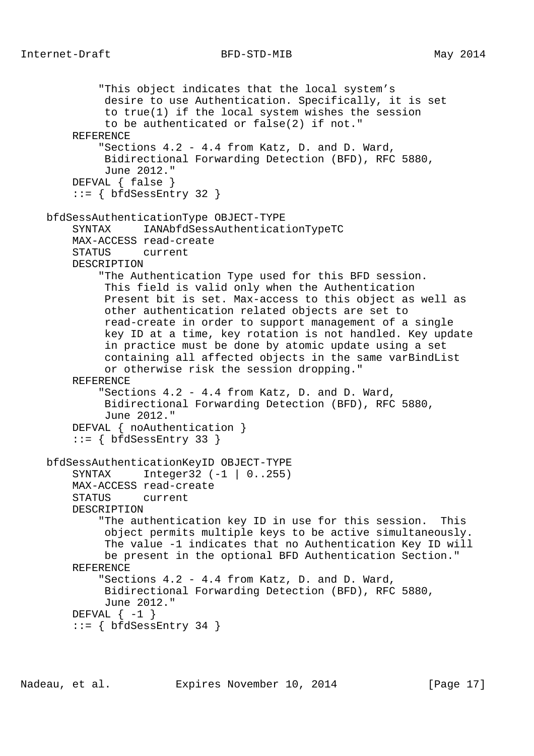```
 "This object indicates that the local system's
          desire to use Authentication. Specifically, it is set
          to true(1) if the local system wishes the session
          to be authenticated or false(2) if not."
     REFERENCE
         "Sections 4.2 - 4.4 from Katz, D. and D. Ward,
          Bidirectional Forwarding Detection (BFD), RFC 5880,
          June 2012."
     DEFVAL { false }
    ::= { bfdSessEntry 32 }
 bfdSessAuthenticationType OBJECT-TYPE
     SYNTAX IANAbfdSessAuthenticationTypeTC
     MAX-ACCESS read-create
     STATUS current
     DESCRIPTION
         "The Authentication Type used for this BFD session.
          This field is valid only when the Authentication
          Present bit is set. Max-access to this object as well as
          other authentication related objects are set to
          read-create in order to support management of a single
          key ID at a time, key rotation is not handled. Key update
          in practice must be done by atomic update using a set
          containing all affected objects in the same varBindList
          or otherwise risk the session dropping."
     REFERENCE
         "Sections 4.2 - 4.4 from Katz, D. and D. Ward,
          Bidirectional Forwarding Detection (BFD), RFC 5880,
          June 2012."
     DEFVAL { noAuthentication }
    ::= { bfdSessEntry 33 }
 bfdSessAuthenticationKeyID OBJECT-TYPE
     SYNTAX Integer32 (-1 | 0..255)
     MAX-ACCESS read-create
     STATUS current
     DESCRIPTION
         "The authentication key ID in use for this session. This
          object permits multiple keys to be active simultaneously.
          The value -1 indicates that no Authentication Key ID will
          be present in the optional BFD Authentication Section."
     REFERENCE
         "Sections 4.2 - 4.4 from Katz, D. and D. Ward,
          Bidirectional Forwarding Detection (BFD), RFC 5880,
          June 2012."
    DEFVAL \{-1\}::= { bfdSessEntry 34 }
```
Nadeau, et al. Expires November 10, 2014 [Page 17]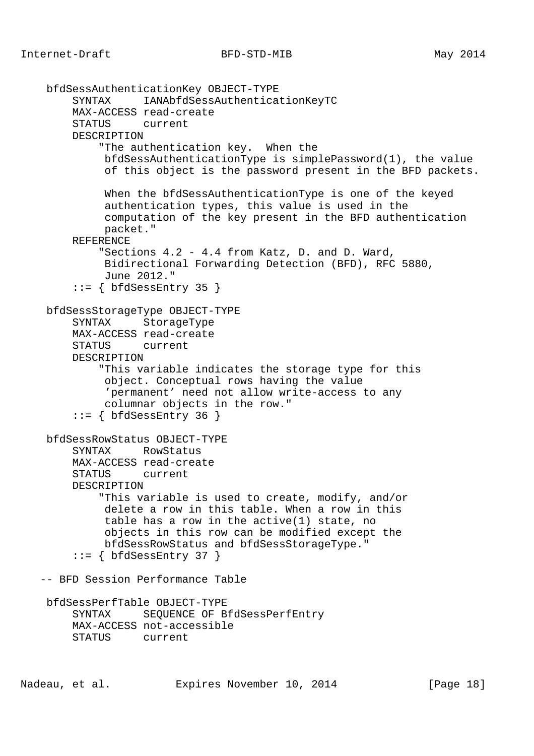```
 bfdSessAuthenticationKey OBJECT-TYPE
      SYNTAX IANAbfdSessAuthenticationKeyTC
      MAX-ACCESS read-create
      STATUS current
      DESCRIPTION
          "The authentication key. When the
           bfdSessAuthenticationType is simplePassword(1), the value
           of this object is the password present in the BFD packets.
           When the bfdSessAuthenticationType is one of the keyed
           authentication types, this value is used in the
           computation of the key present in the BFD authentication
           packet."
      REFERENCE
          "Sections 4.2 - 4.4 from Katz, D. and D. Ward,
          Bidirectional Forwarding Detection (BFD), RFC 5880,
           June 2012."
     ::= { bfdSessEntry 35 }
 bfdSessStorageType OBJECT-TYPE
      SYNTAX StorageType
      MAX-ACCESS read-create
      STATUS current
      DESCRIPTION
          "This variable indicates the storage type for this
           object. Conceptual rows having the value
           'permanent' need not allow write-access to any
           columnar objects in the row."
      ::= { bfdSessEntry 36 }
 bfdSessRowStatus OBJECT-TYPE
      SYNTAX RowStatus
      MAX-ACCESS read-create
      STATUS current
      DESCRIPTION
          "This variable is used to create, modify, and/or
           delete a row in this table. When a row in this
           table has a row in the active(1) state, no
           objects in this row can be modified except the
          bfdSessRowStatus and bfdSessStorageType."
     ::= { bfdSessEntry 37 }
 -- BFD Session Performance Table
 bfdSessPerfTable OBJECT-TYPE
      SYNTAX SEQUENCE OF BfdSessPerfEntry
      MAX-ACCESS not-accessible
      STATUS current
```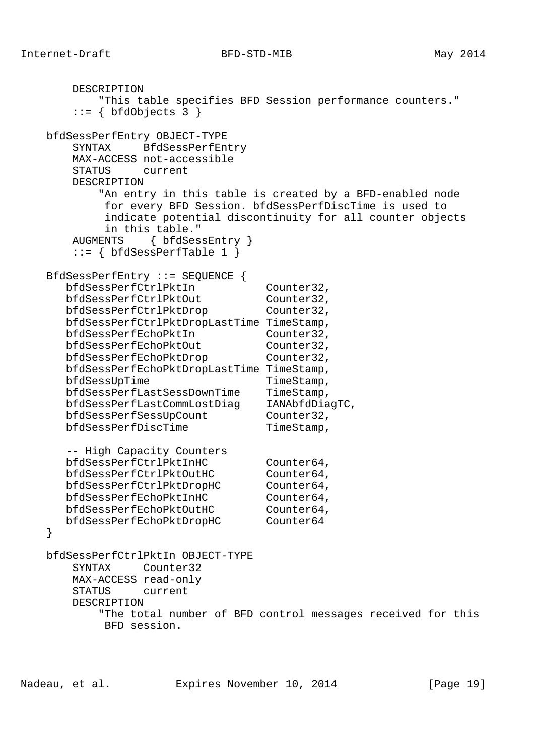```
 DESCRIPTION
           "This table specifies BFD Session performance counters."
       ::= { bfdObjects 3 }
    bfdSessPerfEntry OBJECT-TYPE
       SYNTAX BfdSessPerfEntry
       MAX-ACCESS not-accessible
       STATUS current
       DESCRIPTION
           "An entry in this table is created by a BFD-enabled node
            for every BFD Session. bfdSessPerfDiscTime is used to
            indicate potential discontinuity for all counter objects
            in this table."
       AUGMENTS { bfdSessEntry }
      ::= \{ bfdSessPerfTable 1 \} BfdSessPerfEntry ::= SEQUENCE {
 bfdSessPerfCtrlPktIn Counter32,
bfdSessPerfCtrlPktOut Counter32,
bfdSessPerfCtrlPktDrop Counter32,
      bfdSessPerfCtrlPktDropLastTime TimeStamp,
      bfdSessPerfEchoPktIn Counter32,
bfdSessPerfEchoPktOut Counter32,
bfdSessPerfEchoPktDrop Counter32,
      bfdSessPerfEchoPktDropLastTime TimeStamp,
bfdSessUpTime TimeStamp,
 bfdSessPerfLastSessDownTime TimeStamp,
 bfdSessPerfLastCommLostDiag IANAbfdDiagTC,
bfdSessPerfSessUpCount Counter32,
bfdSessPerfDiscTime TimeStamp,
      -- High Capacity Counters
      bfdSessPerfCtrlPktInHC Counter64,
bfdSessPerfCtrlPktOutHC Counter64,
 bfdSessPerfCtrlPktDropHC Counter64,
      bfdSessPerfEchoPktInHC Counter64,
     bfdSessPerfEchoPktOutHC Counter64,
      bfdSessPerfEchoPktDropHC Counter64
    }
    bfdSessPerfCtrlPktIn OBJECT-TYPE
       SYNTAX Counter32
       MAX-ACCESS read-only
       STATUS current
       DESCRIPTION
           "The total number of BFD control messages received for this
           BFD session.
```
Nadeau, et al. **Expires November 10, 2014** [Page 19]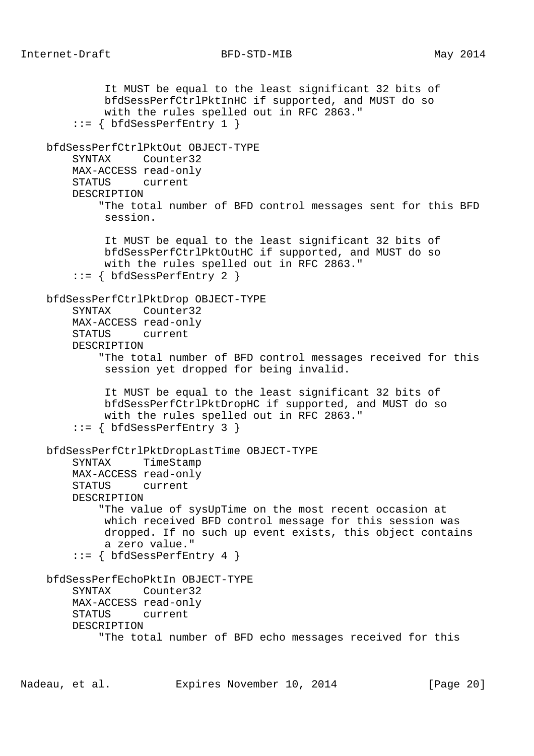```
 It MUST be equal to the least significant 32 bits of
          bfdSessPerfCtrlPktInHC if supported, and MUST do so
          with the rules spelled out in RFC 2863."
    ::= { bfdSessPerfEntry 1 }
 bfdSessPerfCtrlPktOut OBJECT-TYPE
     SYNTAX Counter32
     MAX-ACCESS read-only
     STATUS current
     DESCRIPTION
         "The total number of BFD control messages sent for this BFD
          session.
          It MUST be equal to the least significant 32 bits of
          bfdSessPerfCtrlPktOutHC if supported, and MUST do so
          with the rules spelled out in RFC 2863."
     ::= { bfdSessPerfEntry 2 }
 bfdSessPerfCtrlPktDrop OBJECT-TYPE
     SYNTAX Counter32
     MAX-ACCESS read-only
     STATUS current
     DESCRIPTION
         "The total number of BFD control messages received for this
          session yet dropped for being invalid.
          It MUST be equal to the least significant 32 bits of
          bfdSessPerfCtrlPktDropHC if supported, and MUST do so
          with the rules spelled out in RFC 2863."
     ::= { bfdSessPerfEntry 3 }
 bfdSessPerfCtrlPktDropLastTime OBJECT-TYPE
     SYNTAX TimeStamp
     MAX-ACCESS read-only
     STATUS current
     DESCRIPTION
         "The value of sysUpTime on the most recent occasion at
          which received BFD control message for this session was
          dropped. If no such up event exists, this object contains
          a zero value."
    ::= { bfdSessPerfEntry 4 }
 bfdSessPerfEchoPktIn OBJECT-TYPE
     SYNTAX Counter32
     MAX-ACCESS read-only
     STATUS current
     DESCRIPTION
         "The total number of BFD echo messages received for this
```
Nadeau, et al. **Expires November 10, 2014** [Page 20]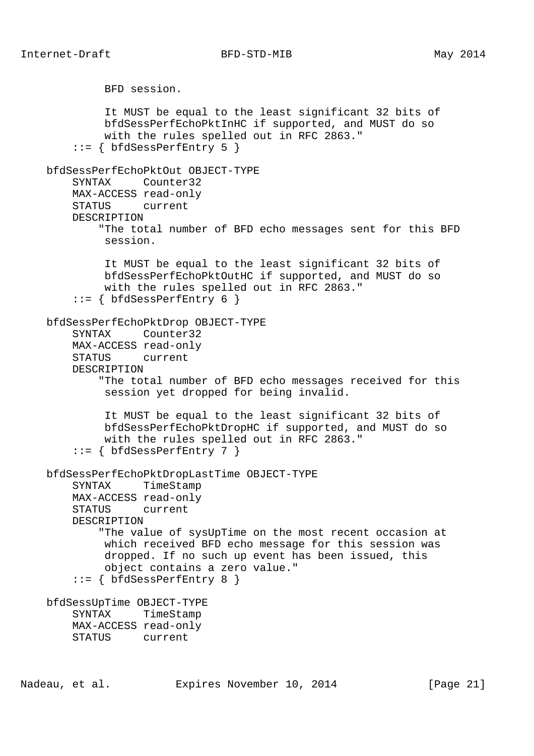```
 BFD session.
          It MUST be equal to the least significant 32 bits of
          bfdSessPerfEchoPktInHC if supported, and MUST do so
          with the rules spelled out in RFC 2863."
    ::= { bfdSessPerfEntry 5 }
 bfdSessPerfEchoPktOut OBJECT-TYPE
     SYNTAX Counter32
     MAX-ACCESS read-only
     STATUS current
     DESCRIPTION
         "The total number of BFD echo messages sent for this BFD
          session.
          It MUST be equal to the least significant 32 bits of
          bfdSessPerfEchoPktOutHC if supported, and MUST do so
          with the rules spelled out in RFC 2863."
     ::= { bfdSessPerfEntry 6 }
 bfdSessPerfEchoPktDrop OBJECT-TYPE
     SYNTAX Counter32
     MAX-ACCESS read-only
     STATUS current
     DESCRIPTION
         "The total number of BFD echo messages received for this
          session yet dropped for being invalid.
          It MUST be equal to the least significant 32 bits of
          bfdSessPerfEchoPktDropHC if supported, and MUST do so
          with the rules spelled out in RFC 2863."
     ::= { bfdSessPerfEntry 7 }
 bfdSessPerfEchoPktDropLastTime OBJECT-TYPE
     SYNTAX TimeStamp
     MAX-ACCESS read-only
     STATUS current
     DESCRIPTION
         "The value of sysUpTime on the most recent occasion at
          which received BFD echo message for this session was
          dropped. If no such up event has been issued, this
          object contains a zero value."
    ::= \{ bfdSessPerfEntry 8 \} bfdSessUpTime OBJECT-TYPE
     SYNTAX TimeStamp
     MAX-ACCESS read-only
     STATUS current
```

```
Nadeau, et al. Expires November 10, 2014 [Page 21]
```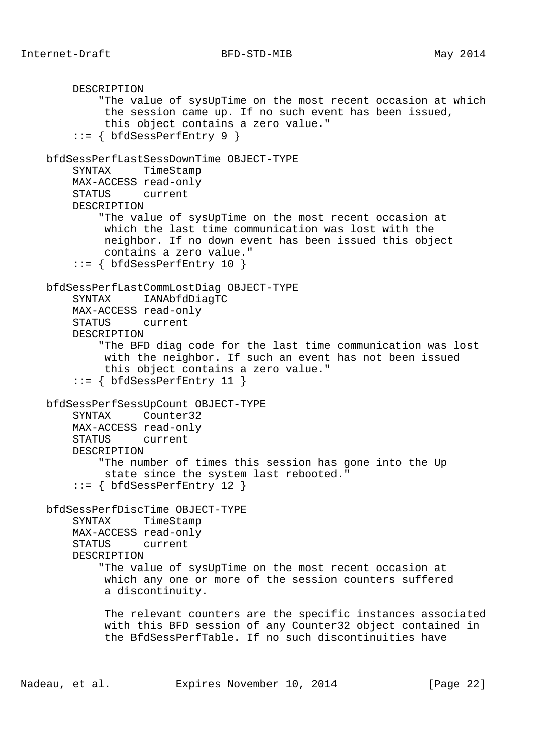```
 DESCRIPTION
         "The value of sysUpTime on the most recent occasion at which
          the session came up. If no such event has been issued,
          this object contains a zero value."
    ::= \{ bfdSessPerfEntry 9 \} bfdSessPerfLastSessDownTime OBJECT-TYPE
     SYNTAX TimeStamp
     MAX-ACCESS read-only
     STATUS current
     DESCRIPTION
         "The value of sysUpTime on the most recent occasion at
          which the last time communication was lost with the
          neighbor. If no down event has been issued this object
          contains a zero value."
    ::= { bfdSessPerfEntry 10 }
 bfdSessPerfLastCommLostDiag OBJECT-TYPE
     SYNTAX IANAbfdDiagTC
     MAX-ACCESS read-only
     STATUS current
     DESCRIPTION
         "The BFD diag code for the last time communication was lost
          with the neighbor. If such an event has not been issued
          this object contains a zero value."
     ::= { bfdSessPerfEntry 11 }
 bfdSessPerfSessUpCount OBJECT-TYPE
     SYNTAX Counter32
     MAX-ACCESS read-only
     STATUS current
     DESCRIPTION
         "The number of times this session has gone into the Up
          state since the system last rebooted."
     ::= { bfdSessPerfEntry 12 }
 bfdSessPerfDiscTime OBJECT-TYPE
     SYNTAX TimeStamp
     MAX-ACCESS read-only
     STATUS current
     DESCRIPTION
         "The value of sysUpTime on the most recent occasion at
          which any one or more of the session counters suffered
          a discontinuity.
          The relevant counters are the specific instances associated
          with this BFD session of any Counter32 object contained in
          the BfdSessPerfTable. If no such discontinuities have
```
Nadeau, et al. Expires November 10, 2014 [Page 22]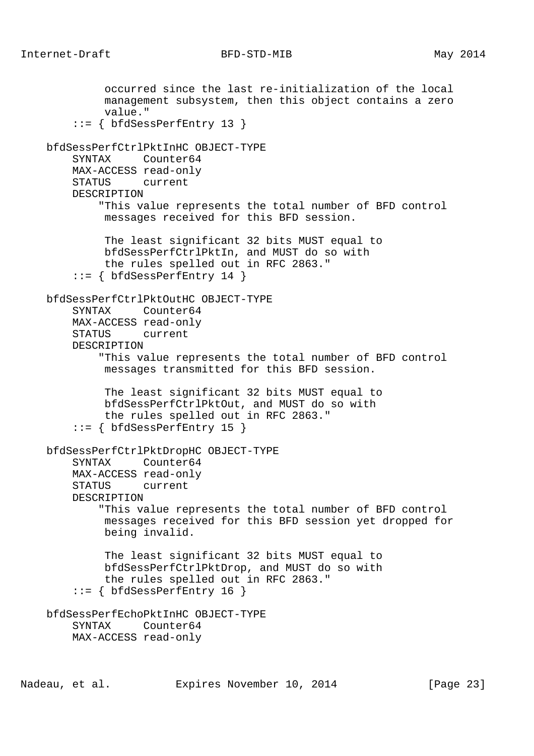occurred since the last re-initialization of the local management subsystem, then this object contains a zero value." ::= { bfdSessPerfEntry 13 } bfdSessPerfCtrlPktInHC OBJECT-TYPE SYNTAX Counter64 MAX-ACCESS read-only STATUS current DESCRIPTION "This value represents the total number of BFD control messages received for this BFD session. The least significant 32 bits MUST equal to bfdSessPerfCtrlPktIn, and MUST do so with the rules spelled out in RFC 2863." ::= { bfdSessPerfEntry 14 } bfdSessPerfCtrlPktOutHC OBJECT-TYPE SYNTAX Counter64 MAX-ACCESS read-only STATUS current DESCRIPTION "This value represents the total number of BFD control messages transmitted for this BFD session. The least significant 32 bits MUST equal to bfdSessPerfCtrlPktOut, and MUST do so with the rules spelled out in RFC 2863." ::= { bfdSessPerfEntry 15 } bfdSessPerfCtrlPktDropHC OBJECT-TYPE SYNTAX Counter64 MAX-ACCESS read-only STATUS current DESCRIPTION "This value represents the total number of BFD control messages received for this BFD session yet dropped for being invalid. The least significant 32 bits MUST equal to bfdSessPerfCtrlPktDrop, and MUST do so with the rules spelled out in RFC 2863."  $::=$  { bfdSessPerfEntry 16 } bfdSessPerfEchoPktInHC OBJECT-TYPE SYNTAX Counter64 MAX-ACCESS read-only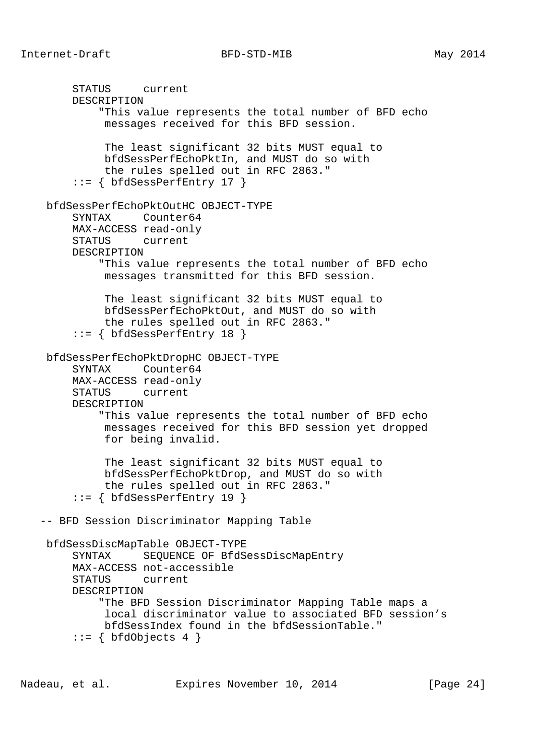STATUS current DESCRIPTION "This value represents the total number of BFD echo messages received for this BFD session. The least significant 32 bits MUST equal to bfdSessPerfEchoPktIn, and MUST do so with the rules spelled out in RFC 2863." ::= { bfdSessPerfEntry 17 } bfdSessPerfEchoPktOutHC OBJECT-TYPE SYNTAX Counter64 MAX-ACCESS read-only STATUS current DESCRIPTION "This value represents the total number of BFD echo messages transmitted for this BFD session. The least significant 32 bits MUST equal to bfdSessPerfEchoPktOut, and MUST do so with the rules spelled out in RFC 2863." ::= { bfdSessPerfEntry 18 } bfdSessPerfEchoPktDropHC OBJECT-TYPE SYNTAX Counter64 MAX-ACCESS read-only STATUS current DESCRIPTION "This value represents the total number of BFD echo messages received for this BFD session yet dropped for being invalid. The least significant 32 bits MUST equal to bfdSessPerfEchoPktDrop, and MUST do so with the rules spelled out in RFC 2863." ::= { bfdSessPerfEntry 19 } -- BFD Session Discriminator Mapping Table bfdSessDiscMapTable OBJECT-TYPE SYNTAX SEQUENCE OF BfdSessDiscMapEntry MAX-ACCESS not-accessible STATUS current DESCRIPTION "The BFD Session Discriminator Mapping Table maps a local discriminator value to associated BFD session's bfdSessIndex found in the bfdSessionTable."  $::=$  { bfdObjects 4 }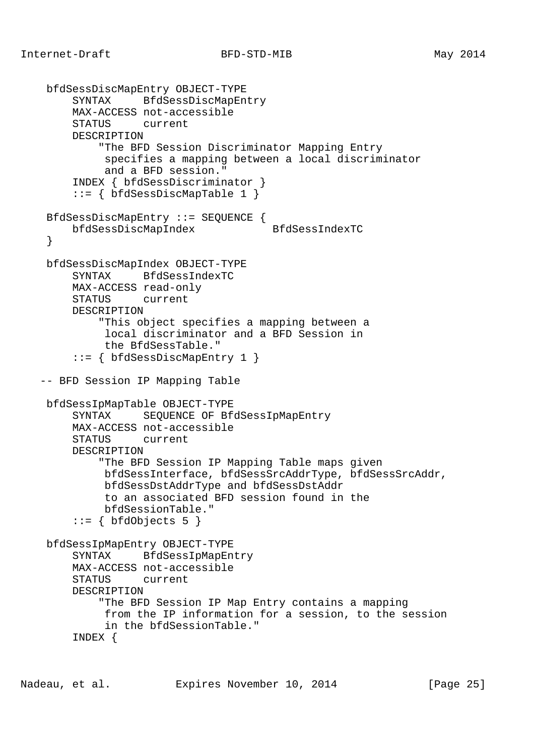```
 bfdSessDiscMapEntry OBJECT-TYPE
     SYNTAX BfdSessDiscMapEntry
     MAX-ACCESS not-accessible
     STATUS current
     DESCRIPTION
          "The BFD Session Discriminator Mapping Entry
          specifies a mapping between a local discriminator
           and a BFD session."
     INDEX { bfdSessDiscriminator }
      ::= { bfdSessDiscMapTable 1 }
 BfdSessDiscMapEntry ::= SEQUENCE {
     bfdSessDiscMapIndex BfdSessIndexTC
  }
 bfdSessDiscMapIndex OBJECT-TYPE
     SYNTAX BfdSessIndexTC
     MAX-ACCESS read-only
     STATUS current
     DESCRIPTION
          "This object specifies a mapping between a
          local discriminator and a BFD Session in
          the BfdSessTable."
      ::= { bfdSessDiscMapEntry 1 }
 -- BFD Session IP Mapping Table
 bfdSessIpMapTable OBJECT-TYPE
     SYNTAX SEQUENCE OF BfdSessIpMapEntry
     MAX-ACCESS not-accessible
     STATUS current
     DESCRIPTION
          "The BFD Session IP Mapping Table maps given
          bfdSessInterface, bfdSessSrcAddrType, bfdSessSrcAddr,
          bfdSessDstAddrType and bfdSessDstAddr
          to an associated BFD session found in the
          bfdSessionTable."
     ::= { bfdObjects 5 }
 bfdSessIpMapEntry OBJECT-TYPE
     SYNTAX BfdSessIpMapEntry
     MAX-ACCESS not-accessible
     STATUS current
     DESCRIPTION
          "The BFD Session IP Map Entry contains a mapping
          from the IP information for a session, to the session
          in the bfdSessionTable."
      INDEX {
```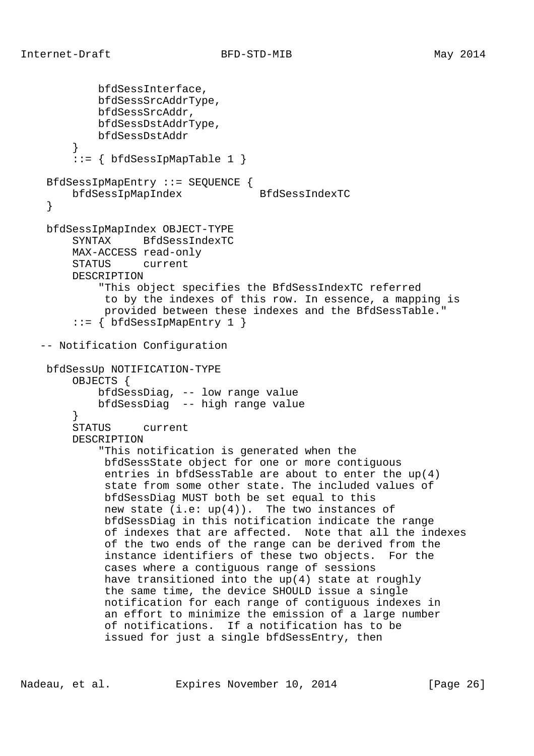```
 bfdSessInterface,
            bfdSessSrcAddrType,
            bfdSessSrcAddr,
            bfdSessDstAddrType,
            bfdSessDstAddr
         }
        ::= { bfdSessIpMapTable 1 }
    BfdSessIpMapEntry ::= SEQUENCE {
        bfdSessIpMapIndex BfdSessIndexTC
    }
    bfdSessIpMapIndex OBJECT-TYPE
        SYNTAX BfdSessIndexTC
        MAX-ACCESS read-only
        STATUS current
        DESCRIPTION
             "This object specifies the BfdSessIndexTC referred
             to by the indexes of this row. In essence, a mapping is
             provided between these indexes and the BfdSessTable."
        ::= \{ bfdSessIpMapEntry 1 \} -- Notification Configuration
    bfdSessUp NOTIFICATION-TYPE
        OBJECTS {
            bfdSessDiag, -- low range value
            bfdSessDiag -- high range value
 }
        STATUS current
        DESCRIPTION
             "This notification is generated when the
             bfdSessState object for one or more contiguous
              entries in bfdSessTable are about to enter the up(4)
              state from some other state. The included values of
             bfdSessDiag MUST both be set equal to this
            new state (i.e: up(4)). The two instances of
             bfdSessDiag in this notification indicate the range
             of indexes that are affected. Note that all the indexes
             of the two ends of the range can be derived from the
              instance identifiers of these two objects. For the
             cases where a contiguous range of sessions
             have transitioned into the up(4) state at roughly
             the same time, the device SHOULD issue a single
             notification for each range of contiguous indexes in
              an effort to minimize the emission of a large number
              of notifications. If a notification has to be
              issued for just a single bfdSessEntry, then
```
Nadeau, et al. **Expires November 10, 2014** [Page 26]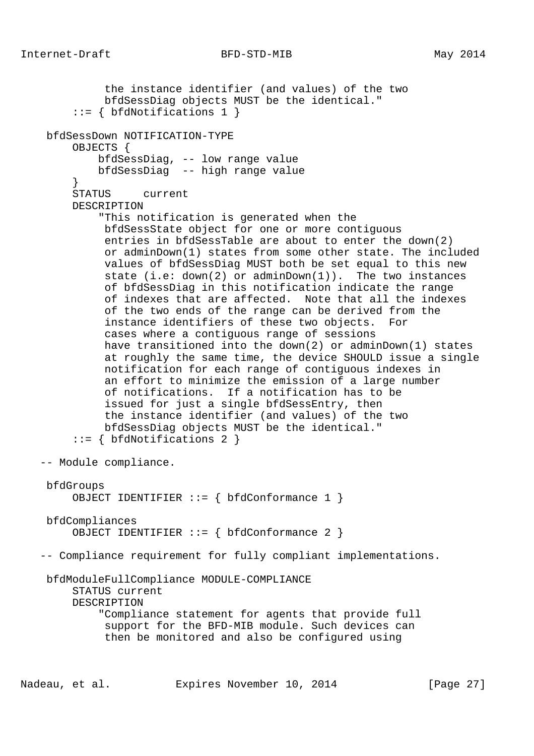```
 the instance identifier (and values) of the two
             bfdSessDiag objects MUST be the identical."
         ::= { bfdNotifications 1 }
    bfdSessDown NOTIFICATION-TYPE
        OBJECTS {
             bfdSessDiag, -- low range value
            bfdSessDiag -- high range value
 }
        STATUS current
        DESCRIPTION
             "This notification is generated when the
             bfdSessState object for one or more contiguous
              entries in bfdSessTable are about to enter the down(2)
              or adminDown(1) states from some other state. The included
             values of bfdSessDiag MUST both be set equal to this new
              state (i.e: down(2) or adminDown(1)). The two instances
              of bfdSessDiag in this notification indicate the range
              of indexes that are affected. Note that all the indexes
             of the two ends of the range can be derived from the
              instance identifiers of these two objects. For
             cases where a contiguous range of sessions
             have transitioned into the down(2) or adminDown(1) states
             at roughly the same time, the device SHOULD issue a single
             notification for each range of contiguous indexes in
              an effort to minimize the emission of a large number
              of notifications. If a notification has to be
              issued for just a single bfdSessEntry, then
             the instance identifier (and values) of the two
             bfdSessDiag objects MUST be the identical."
        ::= { bfdNotifications 2 }
   -- Module compliance.
    bfdGroups
        OBJECT IDENTIFIER ::= { bfdConformance 1 }
    bfdCompliances
       OBJECT IDENTIFIER ::= { bfdConformance 2 }
   -- Compliance requirement for fully compliant implementations.
    bfdModuleFullCompliance MODULE-COMPLIANCE
        STATUS current
        DESCRIPTION
             "Compliance statement for agents that provide full
             support for the BFD-MIB module. Such devices can
              then be monitored and also be configured using
```
Nadeau, et al. Expires November 10, 2014 [Page 27]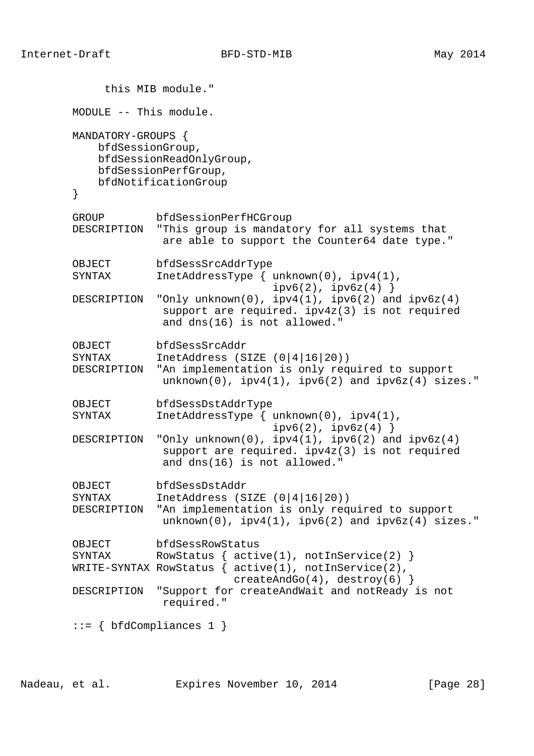this MIB module." MODULE -- This module. MANDATORY-GROUPS { bfdSessionGroup, bfdSessionReadOnlyGroup, bfdSessionPerfGroup, bfdNotificationGroup } GROUP bfdSessionPerfHCGroup DESCRIPTION "This group is mandatory for all systems that are able to support the Counter64 date type." OBJECT bfdSessSrcAddrType SYNTAX InetAddressType { unknown(0), ipv4(1),  $ipv6(2)$ ,  $ipv6z(4)$  } DESCRIPTION "Only unknown(0), ipv4(1), ipv6(2) and ipv6z(4) support are required. ipv4z(3) is not required and dns(16) is not allowed." OBJECT bfdSessSrcAddr<br>SYNTAX InetAddress (S  $IntAddress (SIZE (0|4|16|20))$  DESCRIPTION "An implementation is only required to support  $unknown(0)$ ,  $ipv4(1)$ ,  $ipv6(2)$  and  $ipv6z(4)$  sizes." OBJECT bfdSessDstAddrType SYNTAX InetAddressType { unknown(0), ipv4(1),  $ipv6(2)$ ,  $ipv6z(4)$  } DESCRIPTION "Only unknown(0),  $ipv4(1)$ ,  $ipv6(2)$  and  $ipv6z(4)$  support are required. ipv4z(3) is not required and dns(16) is not allowed." OBJECT bfdSessDstAddr<br>SYNTAX InetAddress (S InetAddress (SIZE  $(0|4|16|20)$ ) DESCRIPTION "An implementation is only required to support  $unknown(0)$ ,  $ipv4(1)$ ,  $ipv6(2)$  and  $ipv6z(4)$  sizes." OBJECT bfdSessRowStatus SYNTAX RowStatus {  $active(1)$ ,  $notInService(2)$  } WRITE-SYNTAX RowStatus  $\{$  active(1), notInService(2), createAndGo(4), destroy(6) } DESCRIPTION "Support for createAndWait and notReady is not required."  $::= \{ bfdCompliances 1 \}$ 

Nadeau, et al. Expires November 10, 2014 [Page 28]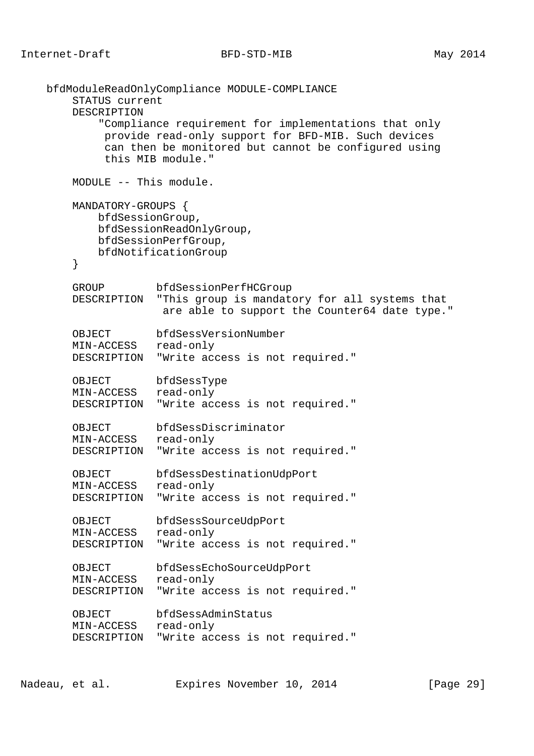```
 bfdModuleReadOnlyCompliance MODULE-COMPLIANCE
     STATUS current
     DESCRIPTION
         "Compliance requirement for implementations that only
         provide read-only support for BFD-MIB. Such devices
         can then be monitored but cannot be configured using
         this MIB module."
     MODULE -- This module.
     MANDATORY-GROUPS {
        bfdSessionGroup,
        bfdSessionReadOnlyGroup,
        bfdSessionPerfGroup,
        bfdNotificationGroup
     }
     GROUP bfdSessionPerfHCGroup
     DESCRIPTION "This group is mandatory for all systems that
                 are able to support the Counter64 date type."
     OBJECT bfdSessVersionNumber
     MIN-ACCESS read-only
     DESCRIPTION "Write access is not required."
     OBJECT bfdSessType
    MIN-ACCESS read-only
    DESCRIPTION "Write access is not required."
    OBJECT bfdSessDiscriminator
    MIN-ACCESS read-only
    DESCRIPTION "Write access is not required."
     OBJECT bfdSessDestinationUdpPort
     MIN-ACCESS read-only
    DESCRIPTION "Write access is not required."
     OBJECT bfdSessSourceUdpPort
    MIN-ACCESS read-only
    DESCRIPTION "Write access is not required."
    OBJECT bfdSessEchoSourceUdpPort
   MIN-ACCESS read-only
    DESCRIPTION "Write access is not required."
     OBJECT bfdSessAdminStatus
    MIN-ACCESS read-only
    DESCRIPTION "Write access is not required."
```
Nadeau, et al. Expires November 10, 2014 [Page 29]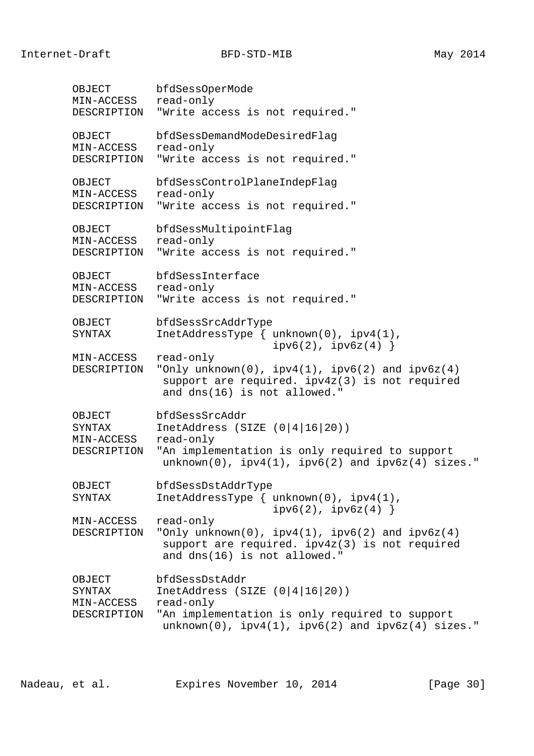OBJECT bfdSessOperMode MIN-ACCESS read-only DESCRIPTION "Write access is not required." OBJECT bfdSessDemandModeDesiredFlag MIN-ACCESS read-only DESCRIPTION "Write access is not required." OBJECT bfdSessControlPlaneIndepFlag MIN-ACCESS read-only DESCRIPTION "Write access is not required." OBJECT bfdSessMultipointFlag MIN-ACCESS read-only DESCRIPTION "Write access is not required." OBJECT bfdSessInterface MIN-ACCESS read-only DESCRIPTION "Write access is not required." OBJECT bfdSessSrcAddrType SYNTAX InetAddressType { unknown(0), ipv4(1),  $ipv6(2)$ ,  $ipv6z(4)$  } MIN-ACCESS read-only DESCRIPTION "Only unknown(0),  $ipv4(1)$ ,  $ipv6(2)$  and  $ipv6z(4)$  support are required. ipv4z(3) is not required and dns(16) is not allowed." OBJECT bfdSessSrcAddr<br>SYNTAX InetAddress (S InetAddress (SIZE  $(0|4|16|20)$ ) MIN-ACCESS read-only DESCRIPTION "An implementation is only required to support  $unknown(0)$ ,  $ipv4(1)$ ,  $ipv6(2)$  and  $ipv6z(4)$  sizes." OBJECT bfdSessDstAddrType SYNTAX InetAddressType { unknown(0), ipv4(1),  $ipv6(2)$ ,  $ipv6z(4)$  } MIN-ACCESS read-only DESCRIPTION "Only unknown(0), ipv4(1), ipv6(2) and ipv6z(4) support are required. ipv4z(3) is not required and dns(16) is not allowed." OBJECT bfdSessDstAddr SYNTAX InetAddress (SIZE (0|4|16|20)) MIN-ACCESS read-only DESCRIPTION "An implementation is only required to support  $unknown(0)$ ,  $ipv4(1)$ ,  $ipv6(2)$  and  $ipv6z(4)$  sizes."

Nadeau, et al. **Expires November 10, 2014** [Page 30]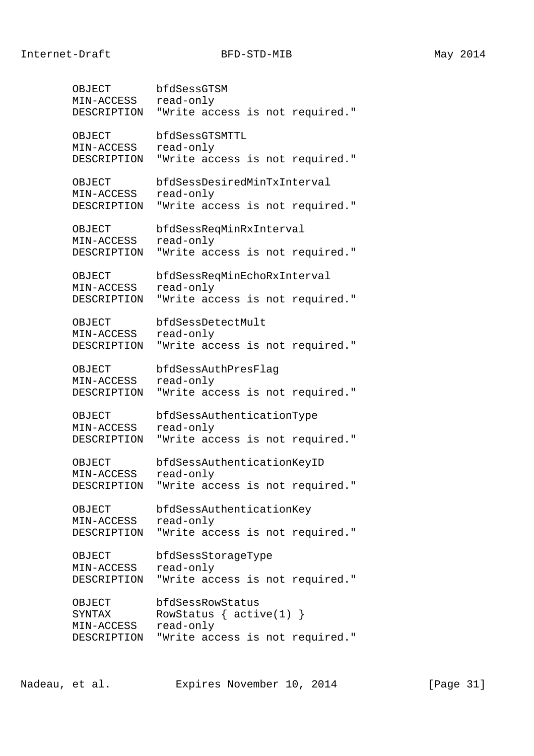| OBJECT      | bfdSessGTSM                     |
|-------------|---------------------------------|
| MIN-ACCESS  | read-only                       |
| DESCRIPTION | "Write access is not required." |
| OBJECT      | bfdSessGTSMTTL                  |
| MIN-ACCESS  | read-only                       |
| DESCRIPTION | "Write access is not required." |
| OBJECT      | bfdSessDesiredMinTxInterval     |
| MIN-ACCESS  | read-only                       |
| DESCRIPTION | "Write access is not required." |
| OBJECT      | bfdSessReqMinRxInterval         |
| MIN-ACCESS  | read-only                       |
| DESCRIPTION | "Write access is not required." |
| OBJECT      | bfdSessReqMinEchoRxInterval     |
| MIN-ACCESS  | read-only                       |
| DESCRIPTION | "Write access is not required." |
| OBJECT      | bfdSessDetectMult               |
| MIN-ACCESS  | read-only                       |
| DESCRIPTION | "Write access is not required." |
| OBJECT      | bfdSessAuthPresFlag             |
| MIN-ACCESS  | read-only                       |
| DESCRIPTION | "Write access is not required." |
| OBJECT      | bfdSessAuthenticationType       |
| MIN-ACCESS  | read-only                       |
| DESCRIPTION | "Write access is not required." |
| OBJECT      | bfdSessAuthenticationKeyID      |
| MIN-ACCESS  | read-only                       |
| DESCRIPTION | "Write access is not required." |
| OBJECT      | bfdSessAuthenticationKey        |
| MIN-ACCESS  | read-only                       |
| DESCRIPTION | "Write access is not required." |
| OBJECT      | bfdSessStorageType              |
| MIN-ACCESS  | read-only                       |
| DESCRIPTION | "Write access is not required." |
| OBJECT      | bfdSessRowStatus                |
| SYNTAX      | RowStatus $\{$ active(1) $\}$   |
| MIN-ACCESS  | read-only                       |
| DESCRIPTION | "Write access is not required." |

Nadeau, et al. Expires November 10, 2014 [Page 31]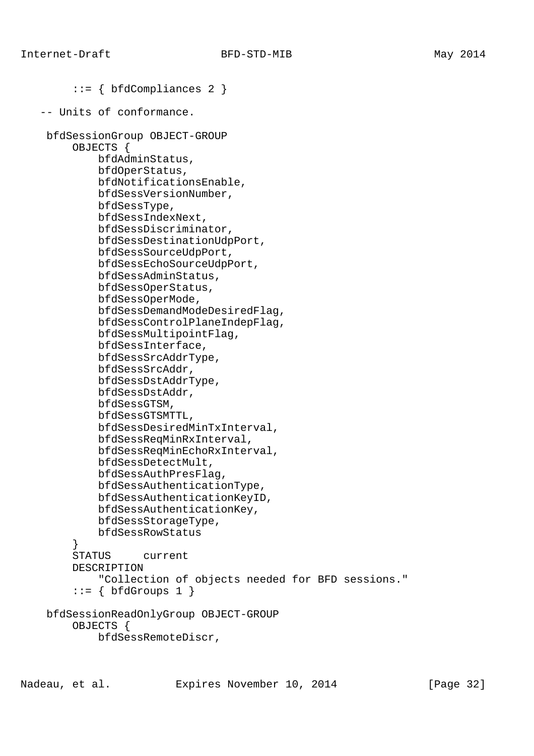```
 ::= { bfdCompliances 2 }
 -- Units of conformance.
 bfdSessionGroup OBJECT-GROUP
      OBJECTS {
          bfdAdminStatus,
          bfdOperStatus,
          bfdNotificationsEnable,
          bfdSessVersionNumber,
          bfdSessType,
          bfdSessIndexNext,
          bfdSessDiscriminator,
          bfdSessDestinationUdpPort,
          bfdSessSourceUdpPort,
          bfdSessEchoSourceUdpPort,
          bfdSessAdminStatus,
          bfdSessOperStatus,
          bfdSessOperMode,
          bfdSessDemandModeDesiredFlag,
          bfdSessControlPlaneIndepFlag,
          bfdSessMultipointFlag,
          bfdSessInterface,
          bfdSessSrcAddrType,
          bfdSessSrcAddr,
          bfdSessDstAddrType,
          bfdSessDstAddr,
          bfdSessGTSM,
          bfdSessGTSMTTL,
          bfdSessDesiredMinTxInterval,
          bfdSessReqMinRxInterval,
          bfdSessReqMinEchoRxInterval,
          bfdSessDetectMult,
          bfdSessAuthPresFlag,
          bfdSessAuthenticationType,
          bfdSessAuthenticationKeyID,
          bfdSessAuthenticationKey,
          bfdSessStorageType,
          bfdSessRowStatus
      }
      STATUS current
      DESCRIPTION
          "Collection of objects needed for BFD sessions."
     ::= \{ \text{bfGrows 1} \} bfdSessionReadOnlyGroup OBJECT-GROUP
      OBJECTS {
          bfdSessRemoteDiscr,
```
Nadeau, et al. **Expires November 10, 2014** [Page 32]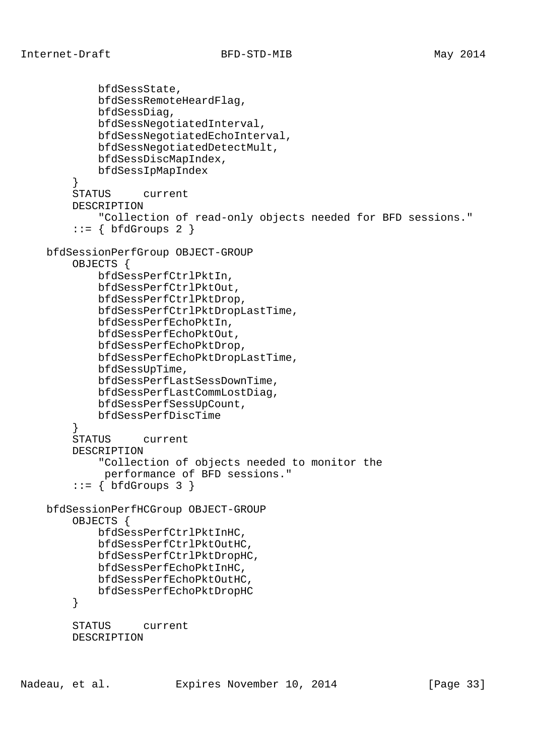```
 bfdSessState,
             bfdSessRemoteHeardFlag,
             bfdSessDiag,
             bfdSessNegotiatedInterval,
             bfdSessNegotiatedEchoInterval,
             bfdSessNegotiatedDetectMult,
             bfdSessDiscMapIndex,
             bfdSessIpMapIndex
 }
         STATUS current
         DESCRIPTION
             "Collection of read-only objects needed for BFD sessions."
        ::= \{ \text{bfGrows } 2 \} bfdSessionPerfGroup OBJECT-GROUP
         OBJECTS {
             bfdSessPerfCtrlPktIn,
             bfdSessPerfCtrlPktOut,
             bfdSessPerfCtrlPktDrop,
             bfdSessPerfCtrlPktDropLastTime,
             bfdSessPerfEchoPktIn,
             bfdSessPerfEchoPktOut,
             bfdSessPerfEchoPktDrop,
             bfdSessPerfEchoPktDropLastTime,
             bfdSessUpTime,
             bfdSessPerfLastSessDownTime,
             bfdSessPerfLastCommLostDiag,
             bfdSessPerfSessUpCount,
        bfdSessPerfDiscTime}
 }
         STATUS current
         DESCRIPTION
             "Collection of objects needed to monitor the
             performance of BFD sessions."
        ::= { bfdGroups 3 }
    bfdSessionPerfHCGroup OBJECT-GROUP
         OBJECTS {
             bfdSessPerfCtrlPktInHC,
             bfdSessPerfCtrlPktOutHC,
             bfdSessPerfCtrlPktDropHC,
             bfdSessPerfEchoPktInHC,
             bfdSessPerfEchoPktOutHC,
             bfdSessPerfEchoPktDropHC
         }
         STATUS current
         DESCRIPTION
```
Nadeau, et al. **Expires November 10, 2014** [Page 33]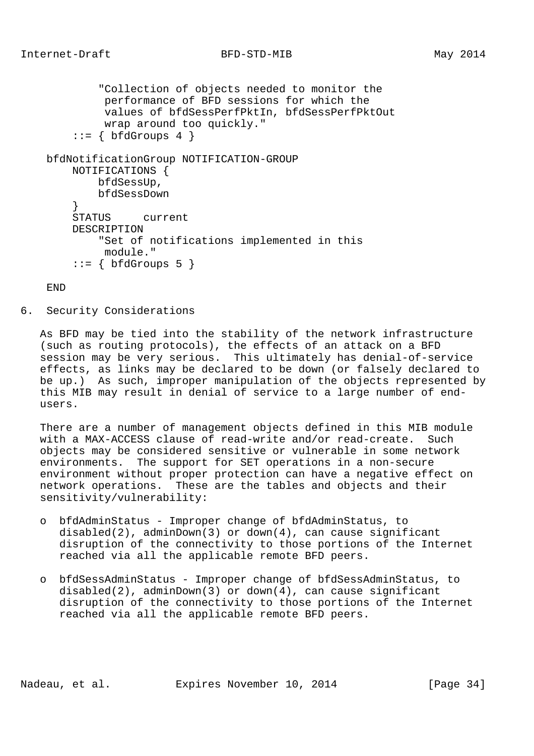"Collection of objects needed to monitor the performance of BFD sessions for which the values of bfdSessPerfPktIn, bfdSessPerfPktOut wrap around too quickly."  $::= \{ \text{bfGrows } 4 \}$  bfdNotificationGroup NOTIFICATION-GROUP NOTIFICATIONS { bfdSessUp, bfdSessDown<br>} } STATUS current DESCRIPTION "Set of notifications implemented in this module."  $::= \{ \text{bfGrows } 5 \}$ 

END

6. Security Considerations

 As BFD may be tied into the stability of the network infrastructure (such as routing protocols), the effects of an attack on a BFD session may be very serious. This ultimately has denial-of-service effects, as links may be declared to be down (or falsely declared to be up.) As such, improper manipulation of the objects represented by this MIB may result in denial of service to a large number of end users.

 There are a number of management objects defined in this MIB module with a MAX-ACCESS clause of read-write and/or read-create. Such objects may be considered sensitive or vulnerable in some network environments. The support for SET operations in a non-secure environment without proper protection can have a negative effect on network operations. These are the tables and objects and their sensitivity/vulnerability:

- o bfdAdminStatus Improper change of bfdAdminStatus, to disabled(2), adminDown(3) or down(4), can cause significant disruption of the connectivity to those portions of the Internet reached via all the applicable remote BFD peers.
- o bfdSessAdminStatus Improper change of bfdSessAdminStatus, to disabled(2), adminDown(3) or down(4), can cause significant disruption of the connectivity to those portions of the Internet reached via all the applicable remote BFD peers.

Nadeau, et al. Expires November 10, 2014 [Page 34]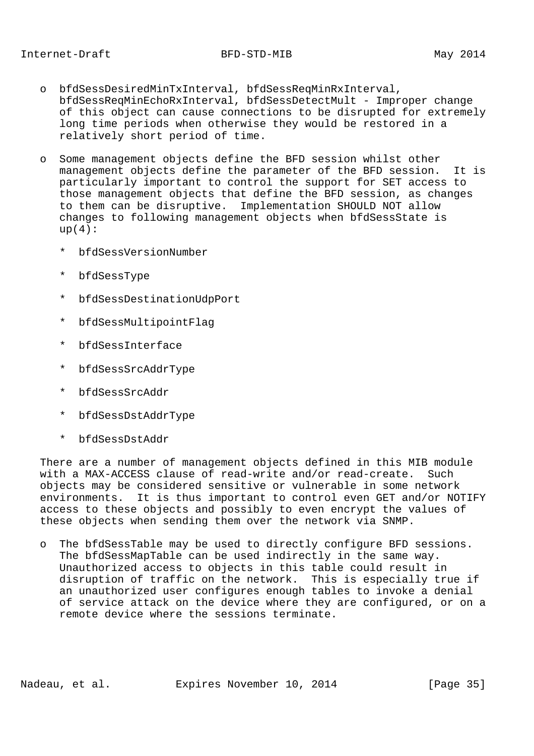- o bfdSessDesiredMinTxInterval, bfdSessReqMinRxInterval, bfdSessReqMinEchoRxInterval, bfdSessDetectMult - Improper change of this object can cause connections to be disrupted for extremely long time periods when otherwise they would be restored in a relatively short period of time.
- o Some management objects define the BFD session whilst other management objects define the parameter of the BFD session. It is particularly important to control the support for SET access to those management objects that define the BFD session, as changes to them can be disruptive. Implementation SHOULD NOT allow changes to following management objects when bfdSessState is  $up(4):$ 
	- \* bfdSessVersionNumber
	- \* bfdSessType
	- \* bfdSessDestinationUdpPort
	- \* bfdSessMultipointFlag
	- bfdSessInterface
	- \* bfdSessSrcAddrType
	- \* bfdSessSrcAddr
	- \* bfdSessDstAddrType
	- \* bfdSessDstAddr

 There are a number of management objects defined in this MIB module with a MAX-ACCESS clause of read-write and/or read-create. Such objects may be considered sensitive or vulnerable in some network environments. It is thus important to control even GET and/or NOTIFY access to these objects and possibly to even encrypt the values of these objects when sending them over the network via SNMP.

 o The bfdSessTable may be used to directly configure BFD sessions. The bfdSessMapTable can be used indirectly in the same way. Unauthorized access to objects in this table could result in disruption of traffic on the network. This is especially true if an unauthorized user configures enough tables to invoke a denial of service attack on the device where they are configured, or on a remote device where the sessions terminate.

Nadeau, et al. **Expires November 10, 2014** [Page 35]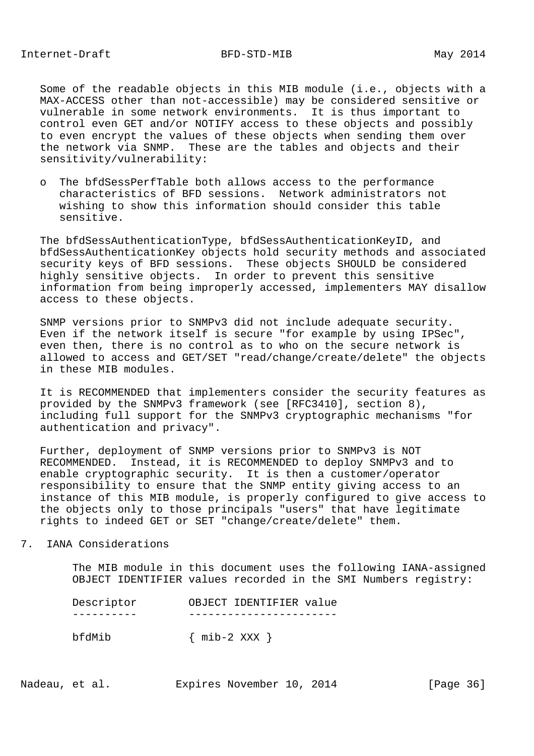Some of the readable objects in this MIB module (i.e., objects with a MAX-ACCESS other than not-accessible) may be considered sensitive or vulnerable in some network environments. It is thus important to control even GET and/or NOTIFY access to these objects and possibly to even encrypt the values of these objects when sending them over the network via SNMP. These are the tables and objects and their sensitivity/vulnerability:

 o The bfdSessPerfTable both allows access to the performance characteristics of BFD sessions. Network administrators not wishing to show this information should consider this table sensitive.

 The bfdSessAuthenticationType, bfdSessAuthenticationKeyID, and bfdSessAuthenticationKey objects hold security methods and associated security keys of BFD sessions. These objects SHOULD be considered highly sensitive objects. In order to prevent this sensitive information from being improperly accessed, implementers MAY disallow access to these objects.

 SNMP versions prior to SNMPv3 did not include adequate security. Even if the network itself is secure "for example by using IPSec", even then, there is no control as to who on the secure network is allowed to access and GET/SET "read/change/create/delete" the objects in these MIB modules.

 It is RECOMMENDED that implementers consider the security features as provided by the SNMPv3 framework (see [RFC3410], section 8), including full support for the SNMPv3 cryptographic mechanisms "for authentication and privacy".

 Further, deployment of SNMP versions prior to SNMPv3 is NOT RECOMMENDED. Instead, it is RECOMMENDED to deploy SNMPv3 and to enable cryptographic security. It is then a customer/operator responsibility to ensure that the SNMP entity giving access to an instance of this MIB module, is properly configured to give access to the objects only to those principals "users" that have legitimate rights to indeed GET or SET "change/create/delete" them.

7. IANA Considerations

 The MIB module in this document uses the following IANA-assigned OBJECT IDENTIFIER values recorded in the SMI Numbers registry:

| Descriptor | OBJECT IDENTIFIER value |
|------------|-------------------------|
|            |                         |
| bfdMib     | $\{$ mib-2 XXX $\}$     |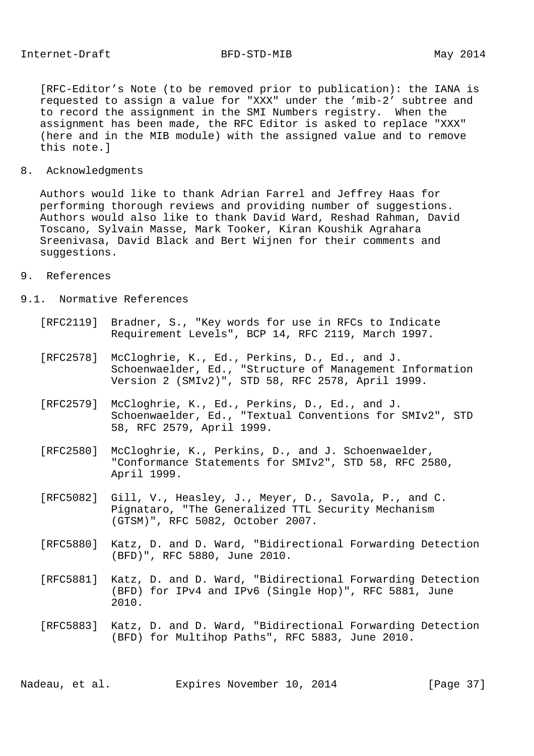[RFC-Editor's Note (to be removed prior to publication): the IANA is requested to assign a value for "XXX" under the 'mib-2' subtree and to record the assignment in the SMI Numbers registry. When the assignment has been made, the RFC Editor is asked to replace "XXX" (here and in the MIB module) with the assigned value and to remove this note.]

#### 8. Acknowledgments

 Authors would like to thank Adrian Farrel and Jeffrey Haas for performing thorough reviews and providing number of suggestions. Authors would also like to thank David Ward, Reshad Rahman, David Toscano, Sylvain Masse, Mark Tooker, Kiran Koushik Agrahara Sreenivasa, David Black and Bert Wijnen for their comments and suggestions.

### 9. References

#### 9.1. Normative References

- [RFC2119] Bradner, S., "Key words for use in RFCs to Indicate Requirement Levels", BCP 14, RFC 2119, March 1997.
- [RFC2578] McCloghrie, K., Ed., Perkins, D., Ed., and J. Schoenwaelder, Ed., "Structure of Management Information Version 2 (SMIv2)", STD 58, RFC 2578, April 1999.
- [RFC2579] McCloghrie, K., Ed., Perkins, D., Ed., and J. Schoenwaelder, Ed., "Textual Conventions for SMIv2", STD 58, RFC 2579, April 1999.
- [RFC2580] McCloghrie, K., Perkins, D., and J. Schoenwaelder, "Conformance Statements for SMIv2", STD 58, RFC 2580, April 1999.
- [RFC5082] Gill, V., Heasley, J., Meyer, D., Savola, P., and C. Pignataro, "The Generalized TTL Security Mechanism (GTSM)", RFC 5082, October 2007.
- [RFC5880] Katz, D. and D. Ward, "Bidirectional Forwarding Detection (BFD)", RFC 5880, June 2010.
- [RFC5881] Katz, D. and D. Ward, "Bidirectional Forwarding Detection (BFD) for IPv4 and IPv6 (Single Hop)", RFC 5881, June 2010.
- [RFC5883] Katz, D. and D. Ward, "Bidirectional Forwarding Detection (BFD) for Multihop Paths", RFC 5883, June 2010.

Nadeau, et al. Expires November 10, 2014 [Page 37]